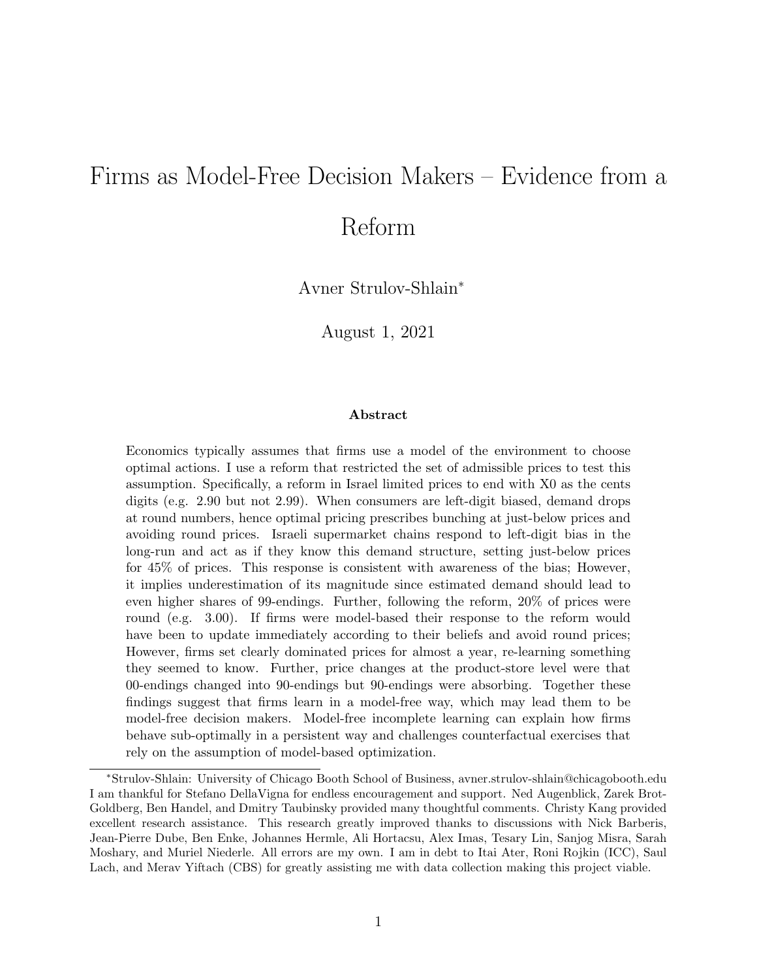# Firms as Model-Free Decision Makers – Evidence from a

# Reform

Avner Strulov-Shlain<sup>∗</sup>

August 1, 2021

#### Abstract

Economics typically assumes that firms use a model of the environment to choose optimal actions. I use a reform that restricted the set of admissible prices to test this assumption. Specifically, a reform in Israel limited prices to end with X0 as the cents digits (e.g. 2.90 but not 2.99). When consumers are left-digit biased, demand drops at round numbers, hence optimal pricing prescribes bunching at just-below prices and avoiding round prices. Israeli supermarket chains respond to left-digit bias in the long-run and act as if they know this demand structure, setting just-below prices for 45% of prices. This response is consistent with awareness of the bias; However, it implies underestimation of its magnitude since estimated demand should lead to even higher shares of 99-endings. Further, following the reform, 20% of prices were round (e.g. 3.00). If firms were model-based their response to the reform would have been to update immediately according to their beliefs and avoid round prices; However, firms set clearly dominated prices for almost a year, re-learning something they seemed to know. Further, price changes at the product-store level were that 00-endings changed into 90-endings but 90-endings were absorbing. Together these findings suggest that firms learn in a model-free way, which may lead them to be model-free decision makers. Model-free incomplete learning can explain how firms behave sub-optimally in a persistent way and challenges counterfactual exercises that rely on the assumption of model-based optimization.

<sup>∗</sup>Strulov-Shlain: University of Chicago Booth School of Business, avner.strulov-shlain@chicagobooth.edu I am thankful for Stefano DellaVigna for endless encouragement and support. Ned Augenblick, Zarek Brot-Goldberg, Ben Handel, and Dmitry Taubinsky provided many thoughtful comments. Christy Kang provided excellent research assistance. This research greatly improved thanks to discussions with Nick Barberis, Jean-Pierre Dube, Ben Enke, Johannes Hermle, Ali Hortacsu, Alex Imas, Tesary Lin, Sanjog Misra, Sarah Moshary, and Muriel Niederle. All errors are my own. I am in debt to Itai Ater, Roni Rojkin (ICC), Saul Lach, and Merav Yiftach (CBS) for greatly assisting me with data collection making this project viable.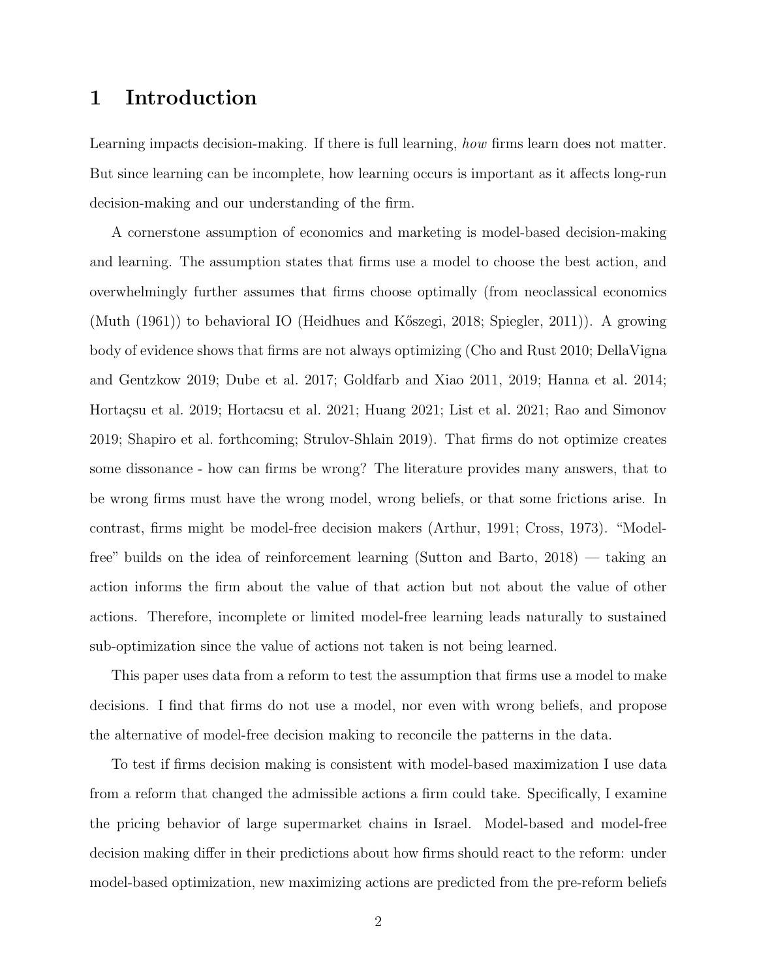# 1 Introduction

Learning impacts decision-making. If there is full learning, how firms learn does not matter. But since learning can be incomplete, how learning occurs is important as it affects long-run decision-making and our understanding of the firm.

A cornerstone assumption of economics and marketing is model-based decision-making and learning. The assumption states that firms use a model to choose the best action, and overwhelmingly further assumes that firms choose optimally (from neoclassical economics (Muth (1961)) to behavioral IO (Heidhues and K˝oszegi, 2018; Spiegler, 2011)). A growing body of evidence shows that firms are not always optimizing (Cho and Rust 2010; DellaVigna and Gentzkow 2019; Dube et al. 2017; Goldfarb and Xiao 2011, 2019; Hanna et al. 2014; Hortaçsu et al. 2019; Hortacsu et al. 2021; Huang 2021; List et al. 2021; Rao and Simonov 2019; Shapiro et al. forthcoming; Strulov-Shlain 2019). That firms do not optimize creates some dissonance - how can firms be wrong? The literature provides many answers, that to be wrong firms must have the wrong model, wrong beliefs, or that some frictions arise. In contrast, firms might be model-free decision makers (Arthur, 1991; Cross, 1973). "Modelfree" builds on the idea of reinforcement learning (Sutton and Barto, 2018) — taking an action informs the firm about the value of that action but not about the value of other actions. Therefore, incomplete or limited model-free learning leads naturally to sustained sub-optimization since the value of actions not taken is not being learned.

This paper uses data from a reform to test the assumption that firms use a model to make decisions. I find that firms do not use a model, nor even with wrong beliefs, and propose the alternative of model-free decision making to reconcile the patterns in the data.

To test if firms decision making is consistent with model-based maximization I use data from a reform that changed the admissible actions a firm could take. Specifically, I examine the pricing behavior of large supermarket chains in Israel. Model-based and model-free decision making differ in their predictions about how firms should react to the reform: under model-based optimization, new maximizing actions are predicted from the pre-reform beliefs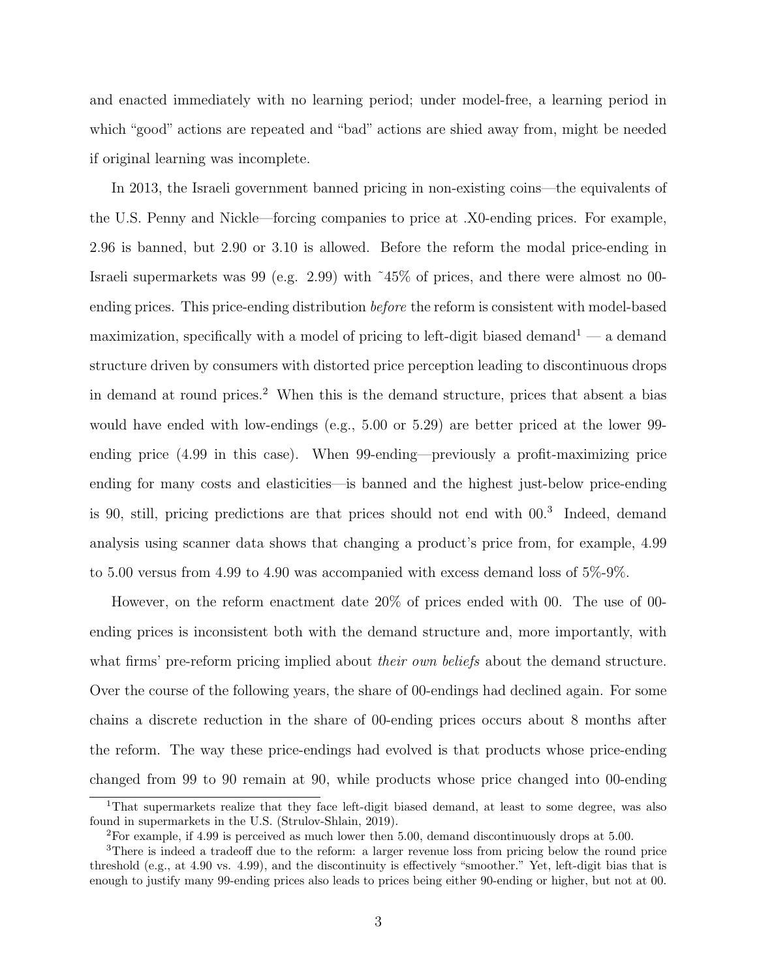and enacted immediately with no learning period; under model-free, a learning period in which "good" actions are repeated and "bad" actions are shied away from, might be needed if original learning was incomplete.

In 2013, the Israeli government banned pricing in non-existing coins—the equivalents of the U.S. Penny and Nickle—forcing companies to price at .X0-ending prices. For example, 2.96 is banned, but 2.90 or 3.10 is allowed. Before the reform the modal price-ending in Israeli supermarkets was 99 (e.g. 2.99) with ˜45% of prices, and there were almost no 00 ending prices. This price-ending distribution before the reform is consistent with model-based maximization, specifically with a model of pricing to left-digit biased demand<sup>1</sup> — a demand structure driven by consumers with distorted price perception leading to discontinuous drops in demand at round prices.<sup>2</sup> When this is the demand structure, prices that absent a bias would have ended with low-endings (e.g., 5.00 or 5.29) are better priced at the lower 99 ending price (4.99 in this case). When 99-ending—previously a profit-maximizing price ending for many costs and elasticities—is banned and the highest just-below price-ending is 90, still, pricing predictions are that prices should not end with 00.<sup>3</sup> Indeed, demand analysis using scanner data shows that changing a product's price from, for example, 4.99 to 5.00 versus from 4.99 to 4.90 was accompanied with excess demand loss of 5%-9%.

However, on the reform enactment date 20% of prices ended with 00. The use of 00 ending prices is inconsistent both with the demand structure and, more importantly, with what firms' pre-reform pricing implied about *their own beliefs* about the demand structure. Over the course of the following years, the share of 00-endings had declined again. For some chains a discrete reduction in the share of 00-ending prices occurs about 8 months after the reform. The way these price-endings had evolved is that products whose price-ending changed from 99 to 90 remain at 90, while products whose price changed into 00-ending

<sup>&</sup>lt;sup>1</sup>That supermarkets realize that they face left-digit biased demand, at least to some degree, was also found in supermarkets in the U.S. (Strulov-Shlain, 2019).

<sup>2</sup>For example, if 4.99 is perceived as much lower then 5.00, demand discontinuously drops at 5.00.

<sup>&</sup>lt;sup>3</sup>There is indeed a tradeoff due to the reform: a larger revenue loss from pricing below the round price threshold (e.g., at 4.90 vs. 4.99), and the discontinuity is effectively "smoother." Yet, left-digit bias that is enough to justify many 99-ending prices also leads to prices being either 90-ending or higher, but not at 00.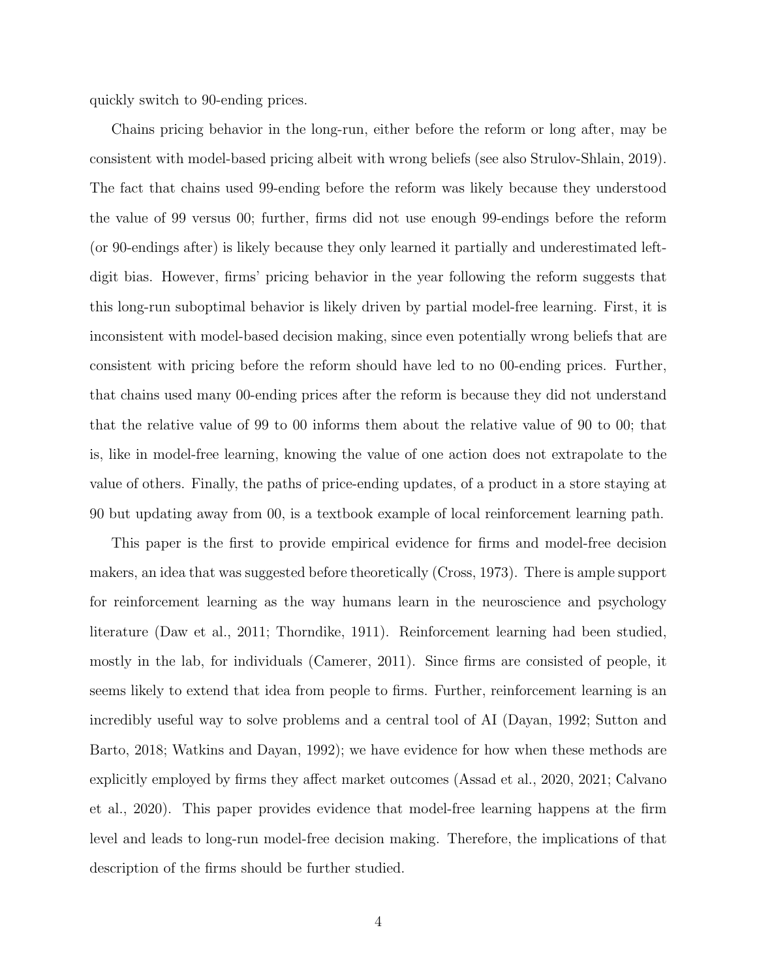quickly switch to 90-ending prices.

Chains pricing behavior in the long-run, either before the reform or long after, may be consistent with model-based pricing albeit with wrong beliefs (see also Strulov-Shlain, 2019). The fact that chains used 99-ending before the reform was likely because they understood the value of 99 versus 00; further, firms did not use enough 99-endings before the reform (or 90-endings after) is likely because they only learned it partially and underestimated leftdigit bias. However, firms' pricing behavior in the year following the reform suggests that this long-run suboptimal behavior is likely driven by partial model-free learning. First, it is inconsistent with model-based decision making, since even potentially wrong beliefs that are consistent with pricing before the reform should have led to no 00-ending prices. Further, that chains used many 00-ending prices after the reform is because they did not understand that the relative value of 99 to 00 informs them about the relative value of 90 to 00; that is, like in model-free learning, knowing the value of one action does not extrapolate to the value of others. Finally, the paths of price-ending updates, of a product in a store staying at 90 but updating away from 00, is a textbook example of local reinforcement learning path.

This paper is the first to provide empirical evidence for firms and model-free decision makers, an idea that was suggested before theoretically (Cross, 1973). There is ample support for reinforcement learning as the way humans learn in the neuroscience and psychology literature (Daw et al., 2011; Thorndike, 1911). Reinforcement learning had been studied, mostly in the lab, for individuals (Camerer, 2011). Since firms are consisted of people, it seems likely to extend that idea from people to firms. Further, reinforcement learning is an incredibly useful way to solve problems and a central tool of AI (Dayan, 1992; Sutton and Barto, 2018; Watkins and Dayan, 1992); we have evidence for how when these methods are explicitly employed by firms they affect market outcomes (Assad et al., 2020, 2021; Calvano et al., 2020). This paper provides evidence that model-free learning happens at the firm level and leads to long-run model-free decision making. Therefore, the implications of that description of the firms should be further studied.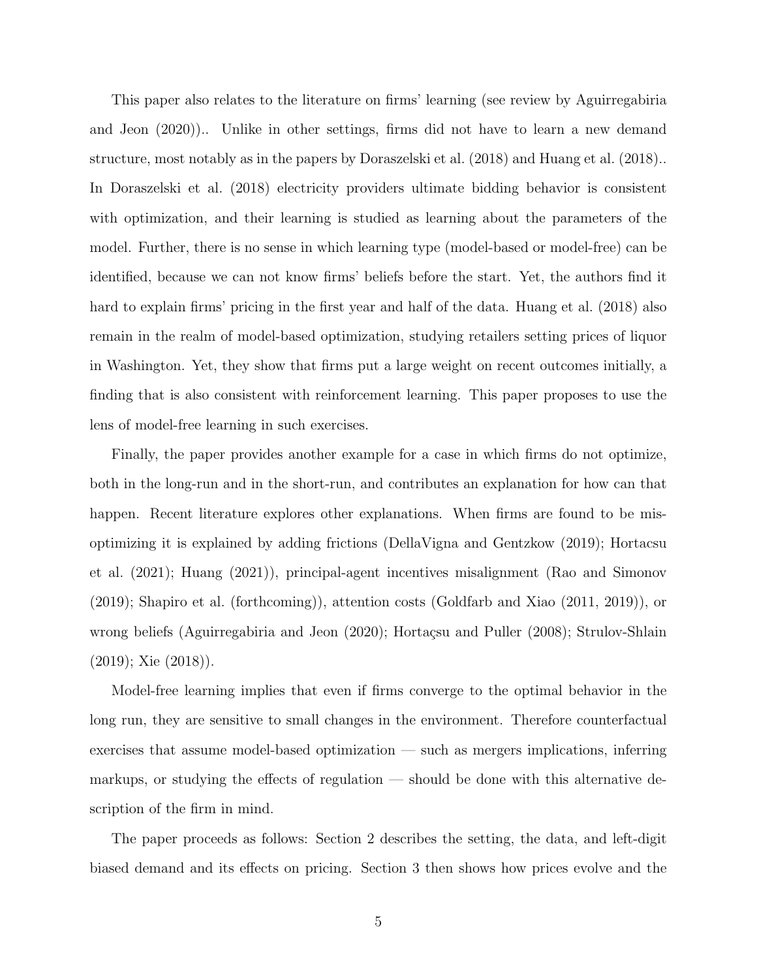This paper also relates to the literature on firms' learning (see review by Aguirregabiria and Jeon (2020)).. Unlike in other settings, firms did not have to learn a new demand structure, most notably as in the papers by Doraszelski et al. (2018) and Huang et al. (2018).. In Doraszelski et al. (2018) electricity providers ultimate bidding behavior is consistent with optimization, and their learning is studied as learning about the parameters of the model. Further, there is no sense in which learning type (model-based or model-free) can be identified, because we can not know firms' beliefs before the start. Yet, the authors find it hard to explain firms' pricing in the first year and half of the data. Huang et al. (2018) also remain in the realm of model-based optimization, studying retailers setting prices of liquor in Washington. Yet, they show that firms put a large weight on recent outcomes initially, a finding that is also consistent with reinforcement learning. This paper proposes to use the lens of model-free learning in such exercises.

Finally, the paper provides another example for a case in which firms do not optimize, both in the long-run and in the short-run, and contributes an explanation for how can that happen. Recent literature explores other explanations. When firms are found to be misoptimizing it is explained by adding frictions (DellaVigna and Gentzkow (2019); Hortacsu et al. (2021); Huang (2021)), principal-agent incentives misalignment (Rao and Simonov (2019); Shapiro et al. (forthcoming)), attention costs (Goldfarb and Xiao (2011, 2019)), or wrong beliefs (Aguirregabiria and Jeon (2020); Hortaçsu and Puller (2008); Strulov-Shlain (2019); Xie (2018)).

Model-free learning implies that even if firms converge to the optimal behavior in the long run, they are sensitive to small changes in the environment. Therefore counterfactual exercises that assume model-based optimization — such as mergers implications, inferring markups, or studying the effects of regulation — should be done with this alternative description of the firm in mind.

The paper proceeds as follows: Section 2 describes the setting, the data, and left-digit biased demand and its effects on pricing. Section 3 then shows how prices evolve and the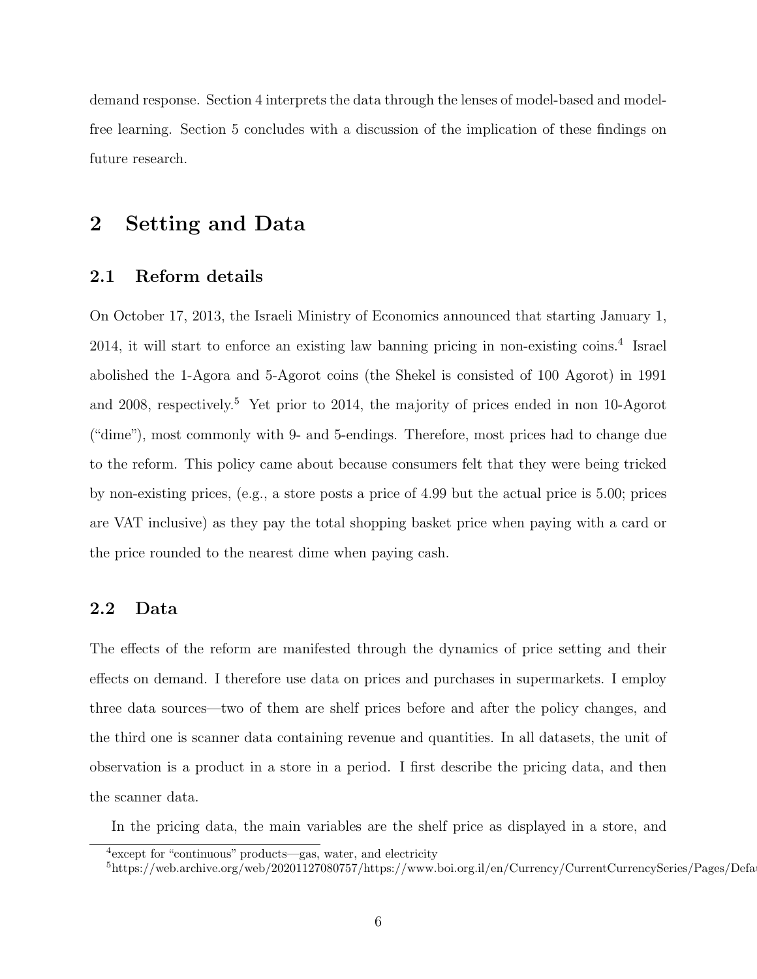demand response. Section 4 interprets the data through the lenses of model-based and modelfree learning. Section 5 concludes with a discussion of the implication of these findings on future research.

### 2 Setting and Data

#### 2.1 Reform details

On October 17, 2013, the Israeli Ministry of Economics announced that starting January 1, 2014, it will start to enforce an existing law banning pricing in non-existing coins.<sup>4</sup> Israel abolished the 1-Agora and 5-Agorot coins (the Shekel is consisted of 100 Agorot) in 1991 and 2008, respectively.<sup>5</sup> Yet prior to 2014, the majority of prices ended in non 10-Agorot ("dime"), most commonly with 9- and 5-endings. Therefore, most prices had to change due to the reform. This policy came about because consumers felt that they were being tricked by non-existing prices, (e.g., a store posts a price of 4.99 but the actual price is 5.00; prices are VAT inclusive) as they pay the total shopping basket price when paying with a card or the price rounded to the nearest dime when paying cash.

#### 2.2 Data

The effects of the reform are manifested through the dynamics of price setting and their effects on demand. I therefore use data on prices and purchases in supermarkets. I employ three data sources—two of them are shelf prices before and after the policy changes, and the third one is scanner data containing revenue and quantities. In all datasets, the unit of observation is a product in a store in a period. I first describe the pricing data, and then the scanner data.

In the pricing data, the main variables are the shelf price as displayed in a store, and

<sup>4</sup> except for "continuous" products—gas, water, and electricity

 $^{5}$ https://web.archive.org/web/20201127080757/https://www.boi.org.il/en/Currency/CurrentCurrencySeries/Pages/Defa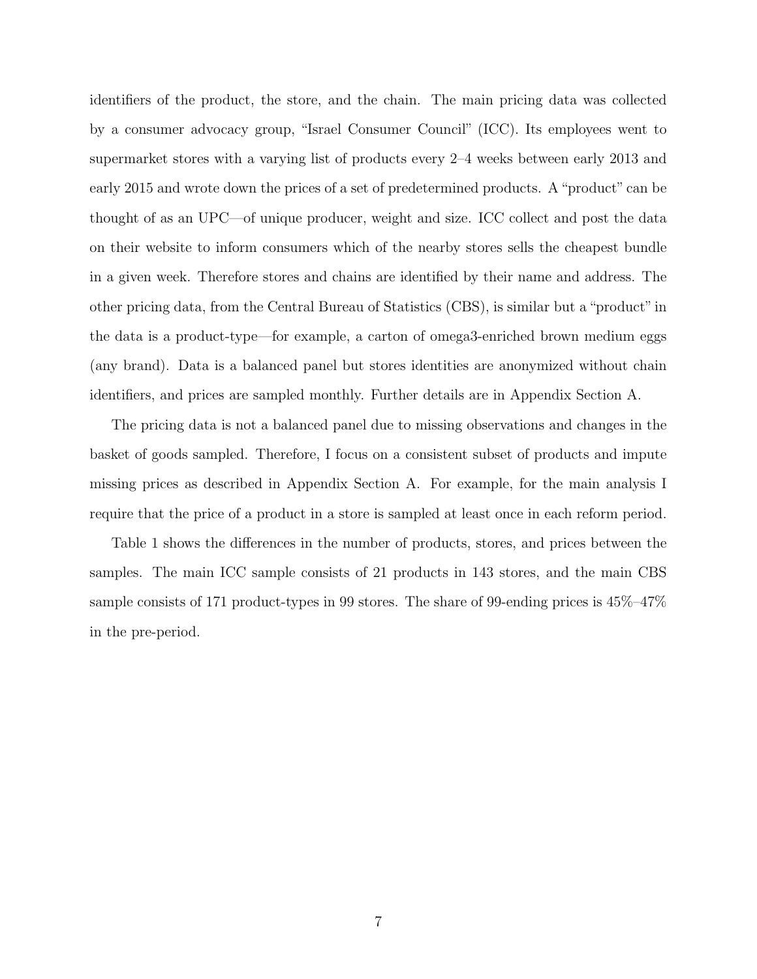identifiers of the product, the store, and the chain. The main pricing data was collected by a consumer advocacy group, "Israel Consumer Council" (ICC). Its employees went to supermarket stores with a varying list of products every 2–4 weeks between early 2013 and early 2015 and wrote down the prices of a set of predetermined products. A "product" can be thought of as an UPC—of unique producer, weight and size. ICC collect and post the data on their website to inform consumers which of the nearby stores sells the cheapest bundle in a given week. Therefore stores and chains are identified by their name and address. The other pricing data, from the Central Bureau of Statistics (CBS), is similar but a "product" in the data is a product-type—for example, a carton of omega3-enriched brown medium eggs (any brand). Data is a balanced panel but stores identities are anonymized without chain identifiers, and prices are sampled monthly. Further details are in Appendix Section A.

The pricing data is not a balanced panel due to missing observations and changes in the basket of goods sampled. Therefore, I focus on a consistent subset of products and impute missing prices as described in Appendix Section A. For example, for the main analysis I require that the price of a product in a store is sampled at least once in each reform period.

Table 1 shows the differences in the number of products, stores, and prices between the samples. The main ICC sample consists of 21 products in 143 stores, and the main CBS sample consists of 171 product-types in 99 stores. The share of 99-ending prices is 45%–47% in the pre-period.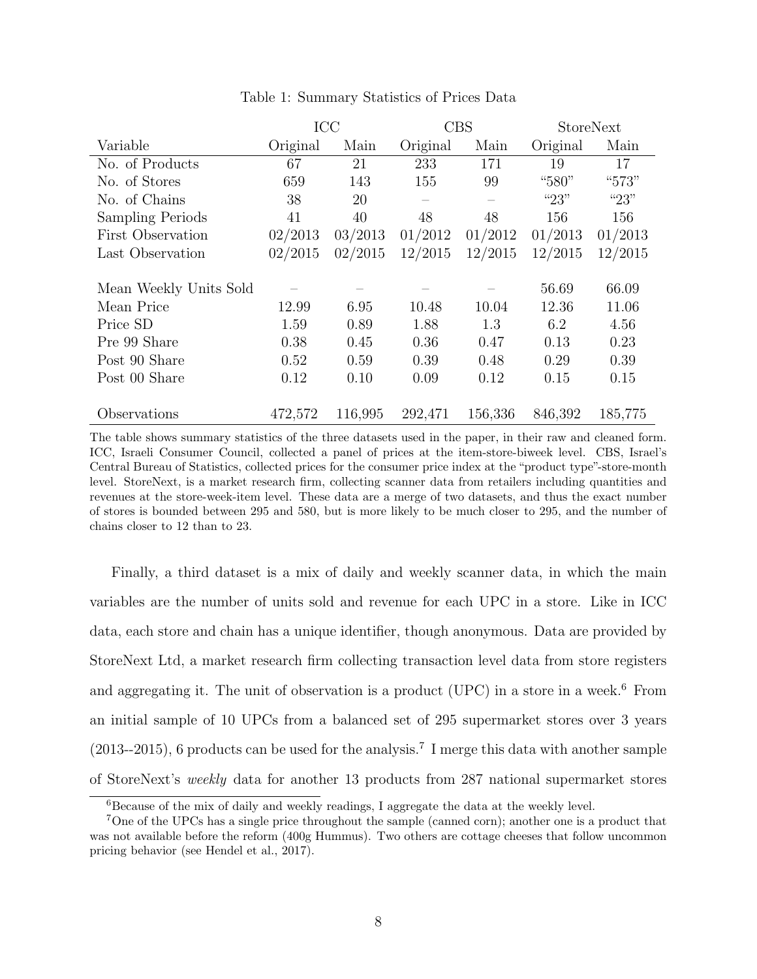|                         |          | ICC     |          | <b>CBS</b> | <b>StoreNext</b> |         |
|-------------------------|----------|---------|----------|------------|------------------|---------|
| Variable                | Original | Main    | Original | Main       | Original         | Main    |
| No. of Products         | 67       | 21      | 233      | 171        | 19               | 17      |
| No. of Stores           | 659      | 143     | 155      | 99         | "580"            | "573"   |
| No. of Chains           | 38       | 20      |          |            | " $23"$          | "23"    |
| <b>Sampling Periods</b> | 41       | 40      | 48       | 48         | 156              | 156     |
| First Observation       | 02/2013  | 03/2013 | 01/2012  | 01/2012    | 01/2013          | 01/2013 |
| Last Observation        | 02/2015  | 02/2015 | 12/2015  | 12/2015    | 12/2015          | 12/2015 |
|                         |          |         |          |            |                  |         |
| Mean Weekly Units Sold  |          |         |          |            | 56.69            | 66.09   |
| Mean Price              | 12.99    | 6.95    | 10.48    | 10.04      | 12.36            | 11.06   |
| Price SD                | 1.59     | 0.89    | 1.88     | 1.3        | 6.2              | 4.56    |
| Pre 99 Share            | 0.38     | 0.45    | 0.36     | 0.47       | 0.13             | 0.23    |
| Post 90 Share           | 0.52     | 0.59    | 0.39     | 0.48       | 0.29             | 0.39    |
| Post 00 Share           | 0.12     | 0.10    | 0.09     | 0.12       | 0.15             | 0.15    |
|                         |          |         |          |            |                  |         |
| Observations            | 472,572  | 116,995 | 292,471  | 156,336    | 846,392          | 185,775 |

Table 1: Summary Statistics of Prices Data

The table shows summary statistics of the three datasets used in the paper, in their raw and cleaned form. ICC, Israeli Consumer Council, collected a panel of prices at the item-store-biweek level. CBS, Israel's Central Bureau of Statistics, collected prices for the consumer price index at the "product type"-store-month level. StoreNext, is a market research firm, collecting scanner data from retailers including quantities and revenues at the store-week-item level. These data are a merge of two datasets, and thus the exact number of stores is bounded between 295 and 580, but is more likely to be much closer to 295, and the number of chains closer to 12 than to 23.

Finally, a third dataset is a mix of daily and weekly scanner data, in which the main variables are the number of units sold and revenue for each UPC in a store. Like in ICC data, each store and chain has a unique identifier, though anonymous. Data are provided by StoreNext Ltd, a market research firm collecting transaction level data from store registers and aggregating it. The unit of observation is a product (UPC) in a store in a week.<sup>6</sup> From an initial sample of 10 UPCs from a balanced set of 295 supermarket stores over 3 years  $(2013-2015)$ , 6 products can be used for the analysis.<sup>7</sup> I merge this data with another sample of StoreNext's weekly data for another 13 products from 287 national supermarket stores

 $6Because$  of the mix of daily and weekly readings, I aggregate the data at the weekly level.

<sup>7</sup>One of the UPCs has a single price throughout the sample (canned corn); another one is a product that was not available before the reform (400g Hummus). Two others are cottage cheeses that follow uncommon pricing behavior (see Hendel et al., 2017).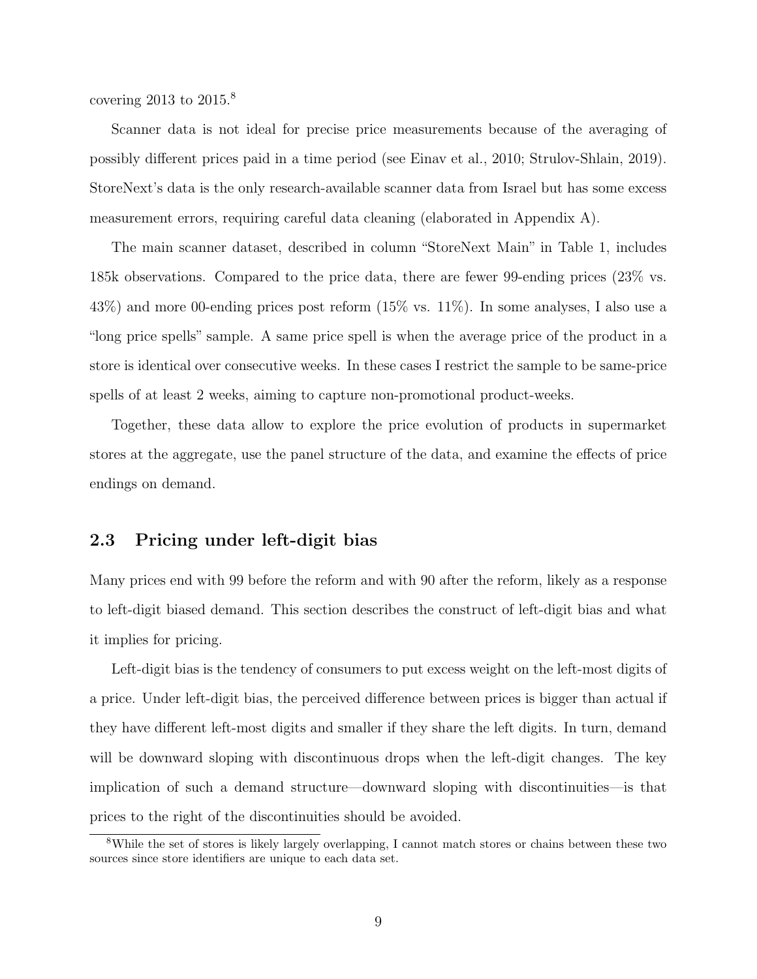covering 2013 to 2015.<sup>8</sup>

Scanner data is not ideal for precise price measurements because of the averaging of possibly different prices paid in a time period (see Einav et al., 2010; Strulov-Shlain, 2019). StoreNext's data is the only research-available scanner data from Israel but has some excess measurement errors, requiring careful data cleaning (elaborated in Appendix A).

The main scanner dataset, described in column "StoreNext Main" in Table 1, includes 185k observations. Compared to the price data, there are fewer 99-ending prices (23% vs. 43%) and more 00-ending prices post reform (15% vs. 11%). In some analyses, I also use a "long price spells" sample. A same price spell is when the average price of the product in a store is identical over consecutive weeks. In these cases I restrict the sample to be same-price spells of at least 2 weeks, aiming to capture non-promotional product-weeks.

Together, these data allow to explore the price evolution of products in supermarket stores at the aggregate, use the panel structure of the data, and examine the effects of price endings on demand.

#### 2.3 Pricing under left-digit bias

Many prices end with 99 before the reform and with 90 after the reform, likely as a response to left-digit biased demand. This section describes the construct of left-digit bias and what it implies for pricing.

Left-digit bias is the tendency of consumers to put excess weight on the left-most digits of a price. Under left-digit bias, the perceived difference between prices is bigger than actual if they have different left-most digits and smaller if they share the left digits. In turn, demand will be downward sloping with discontinuous drops when the left-digit changes. The key implication of such a demand structure—downward sloping with discontinuities—is that prices to the right of the discontinuities should be avoided.

<sup>8</sup>While the set of stores is likely largely overlapping, I cannot match stores or chains between these two sources since store identifiers are unique to each data set.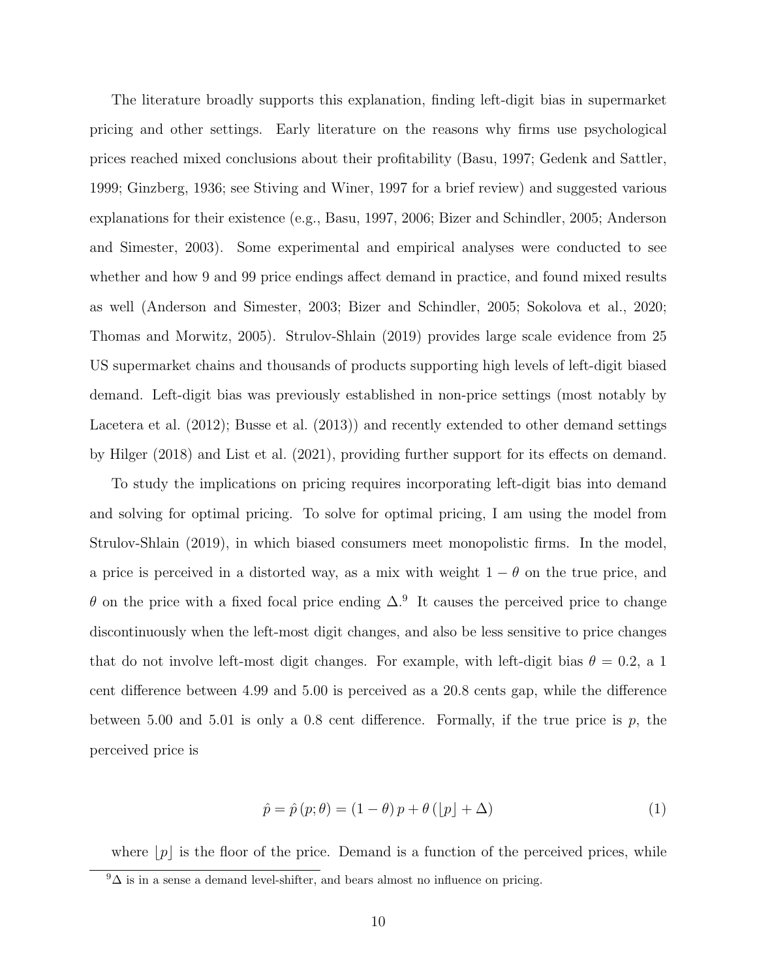The literature broadly supports this explanation, finding left-digit bias in supermarket pricing and other settings. Early literature on the reasons why firms use psychological prices reached mixed conclusions about their profitability (Basu, 1997; Gedenk and Sattler, 1999; Ginzberg, 1936; see Stiving and Winer, 1997 for a brief review) and suggested various explanations for their existence (e.g., Basu, 1997, 2006; Bizer and Schindler, 2005; Anderson and Simester, 2003). Some experimental and empirical analyses were conducted to see whether and how 9 and 99 price endings affect demand in practice, and found mixed results as well (Anderson and Simester, 2003; Bizer and Schindler, 2005; Sokolova et al., 2020; Thomas and Morwitz, 2005). Strulov-Shlain (2019) provides large scale evidence from 25 US supermarket chains and thousands of products supporting high levels of left-digit biased demand. Left-digit bias was previously established in non-price settings (most notably by Lacetera et al. (2012); Busse et al. (2013)) and recently extended to other demand settings by Hilger (2018) and List et al. (2021), providing further support for its effects on demand.

To study the implications on pricing requires incorporating left-digit bias into demand and solving for optimal pricing. To solve for optimal pricing, I am using the model from Strulov-Shlain (2019), in which biased consumers meet monopolistic firms. In the model, a price is perceived in a distorted way, as a mix with weight  $1 - \theta$  on the true price, and  $\theta$  on the price with a fixed focal price ending  $\Delta$ .<sup>9</sup> It causes the perceived price to change discontinuously when the left-most digit changes, and also be less sensitive to price changes that do not involve left-most digit changes. For example, with left-digit bias  $\theta = 0.2$ , a 1 cent difference between 4.99 and 5.00 is perceived as a 20.8 cents gap, while the difference between 5.00 and 5.01 is only a 0.8 cent difference. Formally, if the true price is  $p$ , the perceived price is

$$
\hat{p} = \hat{p}(p; \theta) = (1 - \theta)p + \theta(|p| + \Delta)
$$
\n(1)

where  $|p|$  is the floor of the price. Demand is a function of the perceived prices, while

 $9\Delta$  is in a sense a demand level-shifter, and bears almost no influence on pricing.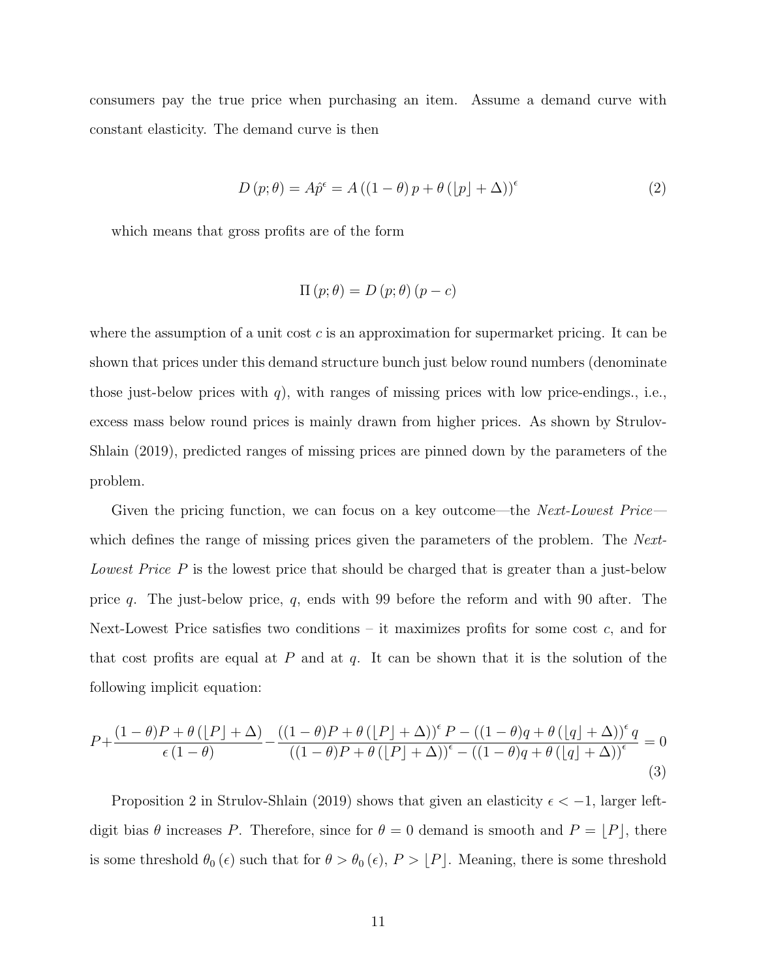consumers pay the true price when purchasing an item. Assume a demand curve with constant elasticity. The demand curve is then

$$
D(p; \theta) = A\hat{p}^{\epsilon} = A((1 - \theta)p + \theta(|p| + \Delta))^{\epsilon}
$$
\n(2)

which means that gross profits are of the form

$$
\Pi(p; \theta) = D(p; \theta)(p - c)
$$

where the assumption of a unit cost  $c$  is an approximation for supermarket pricing. It can be shown that prices under this demand structure bunch just below round numbers (denominate those just-below prices with  $q$ ), with ranges of missing prices with low price-endings., i.e., excess mass below round prices is mainly drawn from higher prices. As shown by Strulov-Shlain (2019), predicted ranges of missing prices are pinned down by the parameters of the problem.

Given the pricing function, we can focus on a key outcome—the *Next-Lowest Price* which defines the range of missing prices given the parameters of the problem. The Next-Lowest Price P is the lowest price that should be charged that is greater than a just-below price q. The just-below price, q, ends with 99 before the reform and with 90 after. The Next-Lowest Price satisfies two conditions – it maximizes profits for some cost  $c$ , and for that cost profits are equal at  $P$  and at  $q$ . It can be shown that it is the solution of the following implicit equation:

$$
P + \frac{(1-\theta)P + \theta(\lfloor P \rfloor + \Delta)}{\epsilon(1-\theta)} - \frac{((1-\theta)P + \theta(\lfloor P \rfloor + \Delta))^{\epsilon}P - ((1-\theta)q + \theta(\lfloor q \rfloor + \Delta))^{\epsilon}q}{((1-\theta)P + \theta(\lfloor P \rfloor + \Delta))^{\epsilon} - ((1-\theta)q + \theta(\lfloor q \rfloor + \Delta))^{\epsilon}} = 0
$$
\n(3)

Proposition 2 in Strulov-Shlain (2019) shows that given an elasticity  $\epsilon < -1$ , larger leftdigit bias  $\theta$  increases P. Therefore, since for  $\theta = 0$  demand is smooth and  $P = \lfloor P \rfloor$ , there is some threshold  $\theta_0 (\epsilon)$  such that for  $\theta > \theta_0 (\epsilon)$ ,  $P > [P]$ . Meaning, there is some threshold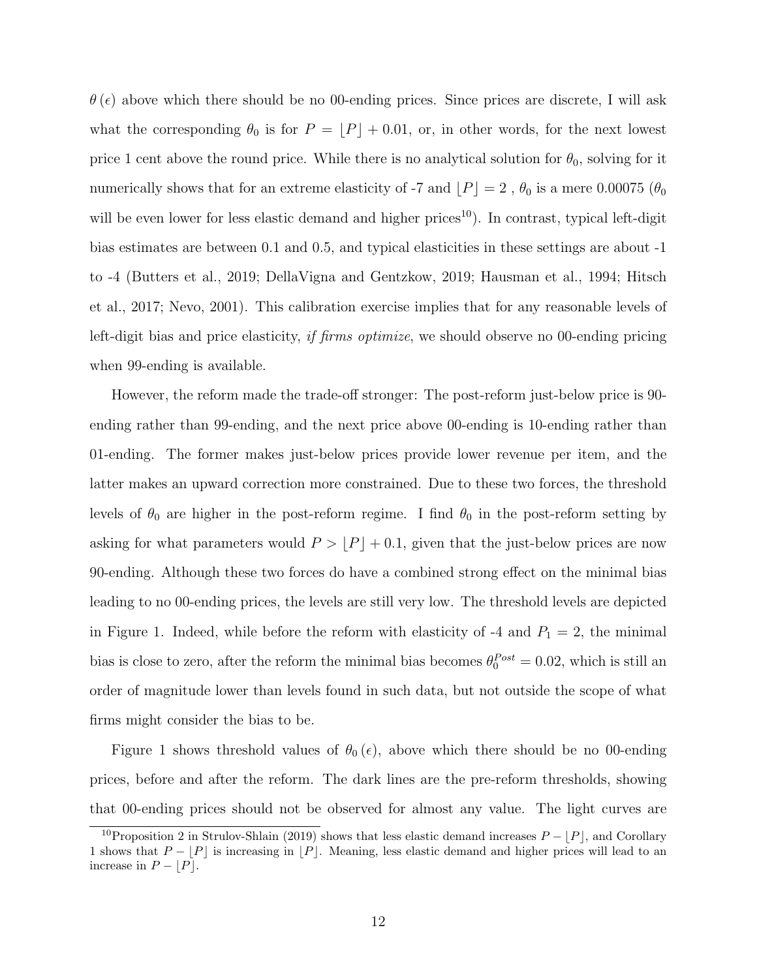$\theta$ ( $\epsilon$ ) above which there should be no 00-ending prices. Since prices are discrete, I will ask what the corresponding  $\theta_0$  is for  $P = [P] + 0.01$ , or, in other words, for the next lowest price 1 cent above the round price. While there is no analytical solution for  $\theta_0$ , solving for it numerically shows that for an extreme elasticity of -7 and  $[P] = 2$ ,  $\theta_0$  is a mere 0.00075 ( $\theta_0$ ) will be even lower for less elastic demand and higher prices<sup>10</sup>). In contrast, typical left-digit bias estimates are between 0.1 and 0.5, and typical elasticities in these settings are about -1 to -4 (Butters et al., 2019; DellaVigna and Gentzkow, 2019; Hausman et al., 1994; Hitsch et al., 2017; Nevo, 2001). This calibration exercise implies that for any reasonable levels of left-digit bias and price elasticity, *if firms optimize*, we should observe no 00-ending pricing when 99-ending is available.

However, the reform made the trade-off stronger: The post-reform just-below price is 90 ending rather than 99-ending, and the next price above 00-ending is 10-ending rather than 01-ending. The former makes just-below prices provide lower revenue per item, and the latter makes an upward correction more constrained. Due to these two forces, the threshold levels of  $\theta_0$  are higher in the post-reform regime. I find  $\theta_0$  in the post-reform setting by asking for what parameters would  $P > \lfloor P \rfloor + 0.1$ , given that the just-below prices are now 90-ending. Although these two forces do have a combined strong effect on the minimal bias leading to no 00-ending prices, the levels are still very low. The threshold levels are depicted in Figure 1. Indeed, while before the reform with elasticity of -4 and  $P_1 = 2$ , the minimal bias is close to zero, after the reform the minimal bias becomes  $\theta_0^{Post} = 0.02$ , which is still an order of magnitude lower than levels found in such data, but not outside the scope of what firms might consider the bias to be.

Figure 1 shows threshold values of  $\theta_0(\epsilon)$ , above which there should be no 00-ending prices, before and after the reform. The dark lines are the pre-reform thresholds, showing that 00-ending prices should not be observed for almost any value. The light curves are

<sup>&</sup>lt;sup>10</sup>Proposition 2 in Strulov-Shlain (2019) shows that less elastic demand increases  $P - |P|$ , and Corollary 1 shows that  $P - |P|$  is increasing in  $|P|$ . Meaning, less elastic demand and higher prices will lead to an increase in  $P - |P|$ .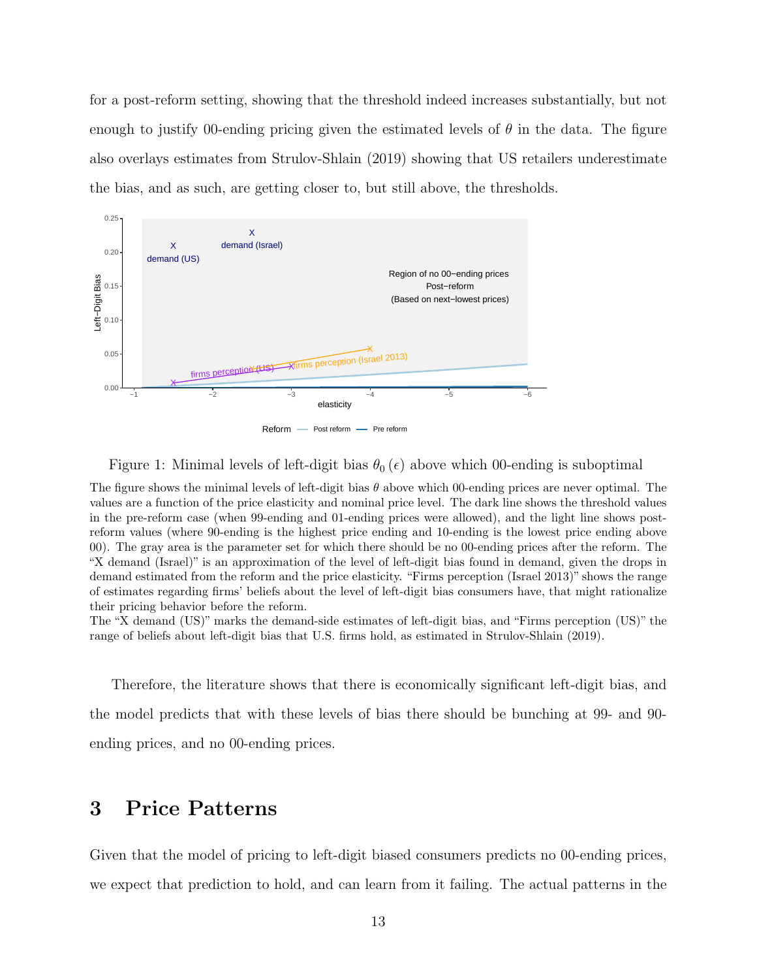for a post-reform setting, showing that the threshold indeed increases substantially, but not enough to justify 00-ending pricing given the estimated levels of  $\theta$  in the data. The figure also overlays estimates from Strulov-Shlain (2019) showing that US retailers underestimate the bias, and as such, are getting closer to, but still above, the thresholds.



Figure 1: Minimal levels of left-digit bias  $\theta_0(\epsilon)$  above which 00-ending is suboptimal

The figure shows the minimal levels of left-digit bias  $\theta$  above which 00-ending prices are never optimal. The values are a function of the price elasticity and nominal price level. The dark line shows the threshold values in the pre-reform case (when 99-ending and 01-ending prices were allowed), and the light line shows postreform values (where 90-ending is the highest price ending and 10-ending is the lowest price ending above 00). The gray area is the parameter set for which there should be no 00-ending prices after the reform. The "X demand (Israel)" is an approximation of the level of left-digit bias found in demand, given the drops in demand estimated from the reform and the price elasticity. "Firms perception (Israel 2013)" shows the range of estimates regarding firms' beliefs about the level of left-digit bias consumers have, that might rationalize their pricing behavior before the reform.

The "X demand (US)" marks the demand-side estimates of left-digit bias, and "Firms perception (US)" the range of beliefs about left-digit bias that U.S. firms hold, as estimated in Strulov-Shlain (2019).

Therefore, the literature shows that there is economically significant left-digit bias, and the model predicts that with these levels of bias there should be bunching at 99- and 90 ending prices, and no 00-ending prices.

# 3 Price Patterns

Given that the model of pricing to left-digit biased consumers predicts no 00-ending prices, we expect that prediction to hold, and can learn from it failing. The actual patterns in the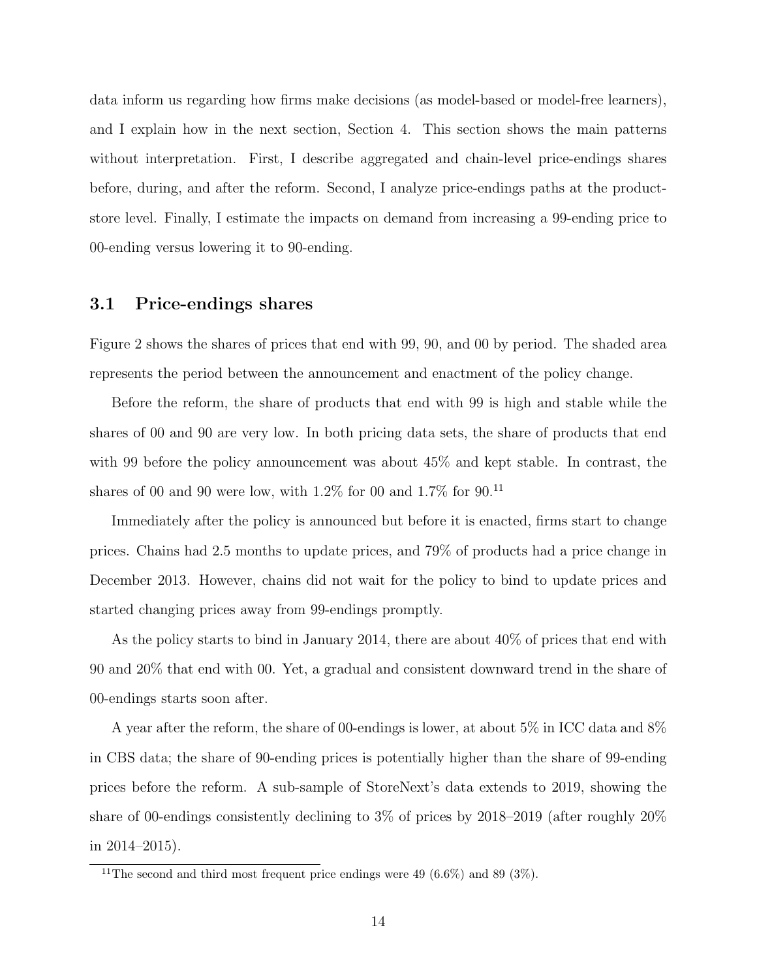data inform us regarding how firms make decisions (as model-based or model-free learners), and I explain how in the next section, Section 4. This section shows the main patterns without interpretation. First, I describe aggregated and chain-level price-endings shares before, during, and after the reform. Second, I analyze price-endings paths at the productstore level. Finally, I estimate the impacts on demand from increasing a 99-ending price to 00-ending versus lowering it to 90-ending.

#### 3.1 Price-endings shares

Figure 2 shows the shares of prices that end with 99, 90, and 00 by period. The shaded area represents the period between the announcement and enactment of the policy change.

Before the reform, the share of products that end with 99 is high and stable while the shares of 00 and 90 are very low. In both pricing data sets, the share of products that end with 99 before the policy announcement was about  $45\%$  and kept stable. In contrast, the shares of 00 and 90 were low, with  $1.2\%$  for 00 and  $1.7\%$  for 90.<sup>11</sup>

Immediately after the policy is announced but before it is enacted, firms start to change prices. Chains had 2.5 months to update prices, and 79% of products had a price change in December 2013. However, chains did not wait for the policy to bind to update prices and started changing prices away from 99-endings promptly.

As the policy starts to bind in January 2014, there are about 40% of prices that end with 90 and 20% that end with 00. Yet, a gradual and consistent downward trend in the share of 00-endings starts soon after.

A year after the reform, the share of 00-endings is lower, at about 5% in ICC data and 8% in CBS data; the share of 90-ending prices is potentially higher than the share of 99-ending prices before the reform. A sub-sample of StoreNext's data extends to 2019, showing the share of 00-endings consistently declining to 3% of prices by 2018–2019 (after roughly 20% in 2014–2015).

<sup>&</sup>lt;sup>11</sup>The second and third most frequent price endings were 49 (6.6%) and 89 (3%).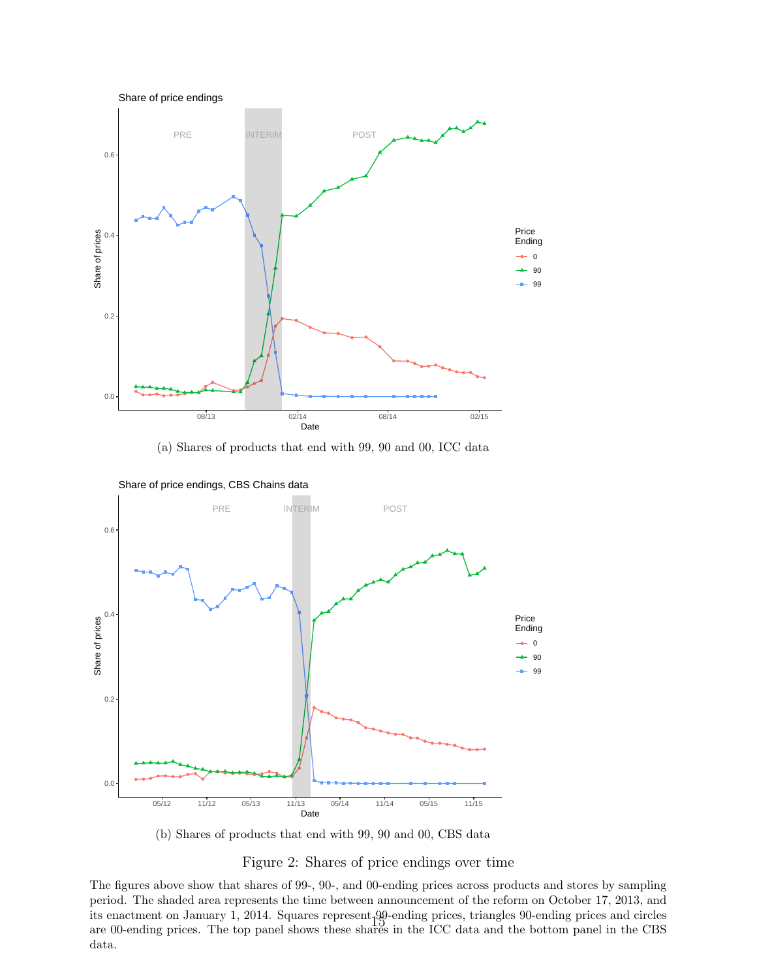

(a) Shares of products that end with 99, 90 and 00, ICC data



Share of price endings, CBS Chains data

(b) Shares of products that end with 99, 90 and 00, CBS data

Figure 2: Shares of price endings over time

The figures above show that shares of 99-, 90-, and 00-ending prices across products and stores by sampling period. The shaded area represents the time between announcement of the reform on October 17, 2013, and its enactment on January 1, 2014. Squares represent 99-ending prices, triangles 90-ending prices and circles are 00-ending prices. The top panel shows these shares in the ICC data and the bottom panel in the CBS data.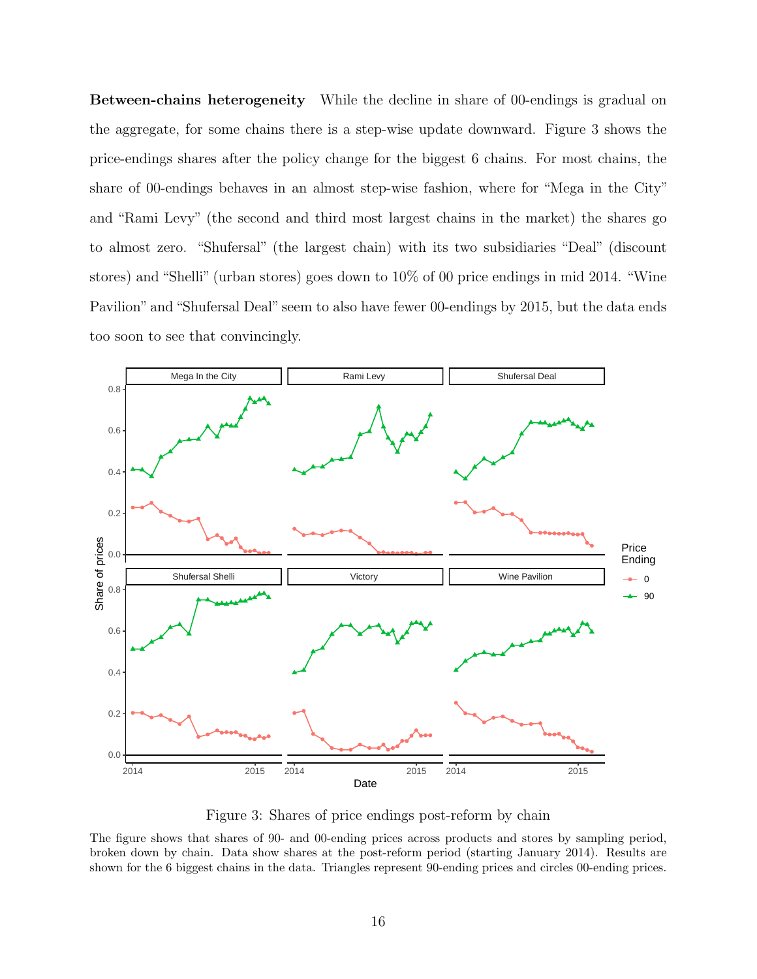Between-chains heterogeneity While the decline in share of 00-endings is gradual on the aggregate, for some chains there is a step-wise update downward. Figure 3 shows the price-endings shares after the policy change for the biggest 6 chains. For most chains, the share of 00-endings behaves in an almost step-wise fashion, where for "Mega in the City" and "Rami Levy" (the second and third most largest chains in the market) the shares go to almost zero. "Shufersal" (the largest chain) with its two subsidiaries "Deal" (discount stores) and "Shelli" (urban stores) goes down to 10% of 00 price endings in mid 2014. "Wine Pavilion" and "Shufersal Deal" seem to also have fewer 00-endings by 2015, but the data ends too soon to see that convincingly.



Figure 3: Shares of price endings post-reform by chain

The figure shows that shares of 90- and 00-ending prices across products and stores by sampling period, broken down by chain. Data show shares at the post-reform period (starting January 2014). Results are shown for the 6 biggest chains in the data. Triangles represent 90-ending prices and circles 00-ending prices.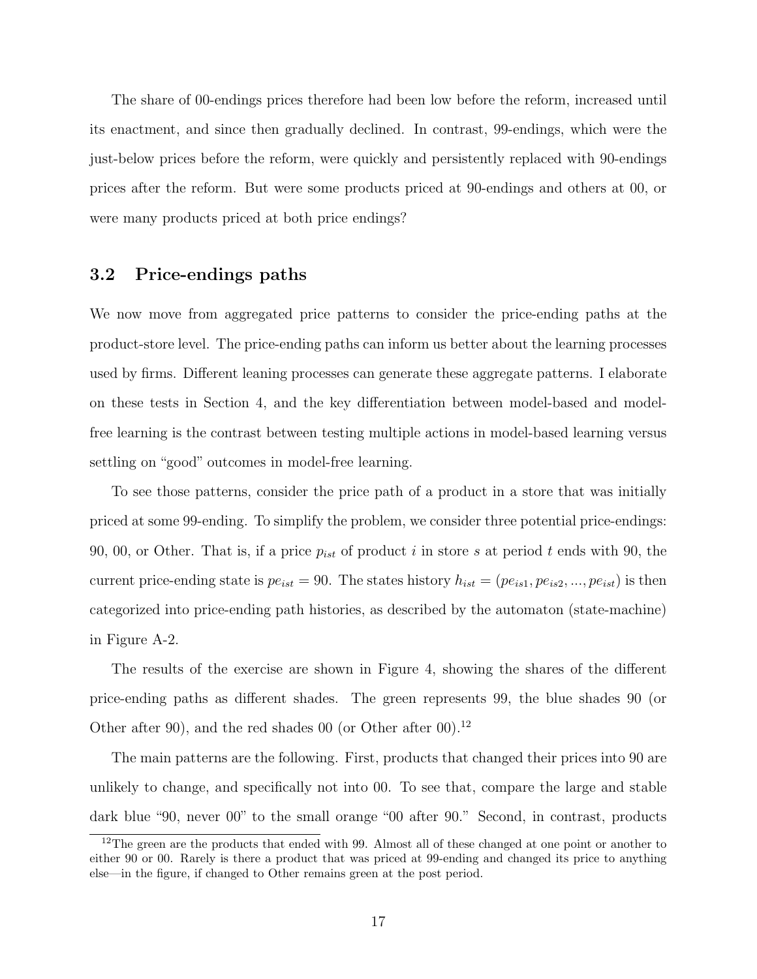The share of 00-endings prices therefore had been low before the reform, increased until its enactment, and since then gradually declined. In contrast, 99-endings, which were the just-below prices before the reform, were quickly and persistently replaced with 90-endings prices after the reform. But were some products priced at 90-endings and others at 00, or were many products priced at both price endings?

#### 3.2 Price-endings paths

We now move from aggregated price patterns to consider the price-ending paths at the product-store level. The price-ending paths can inform us better about the learning processes used by firms. Different leaning processes can generate these aggregate patterns. I elaborate on these tests in Section 4, and the key differentiation between model-based and modelfree learning is the contrast between testing multiple actions in model-based learning versus settling on "good" outcomes in model-free learning.

To see those patterns, consider the price path of a product in a store that was initially priced at some 99-ending. To simplify the problem, we consider three potential price-endings: 90, 00, or Other. That is, if a price  $p_{ist}$  of product i in store s at period t ends with 90, the current price-ending state is  $pe_{ist} = 90$ . The states history  $h_{ist} = (pe_{is1}, pe_{is2}, ..., pe_{ist})$  is then categorized into price-ending path histories, as described by the automaton (state-machine) in Figure A-2.

The results of the exercise are shown in Figure 4, showing the shares of the different price-ending paths as different shades. The green represents 99, the blue shades 90 (or Other after 90), and the red shades 00 (or Other after 00).<sup>12</sup>

The main patterns are the following. First, products that changed their prices into 90 are unlikely to change, and specifically not into 00. To see that, compare the large and stable dark blue "90, never 00" to the small orange "00 after 90." Second, in contrast, products

<sup>&</sup>lt;sup>12</sup>The green are the products that ended with 99. Almost all of these changed at one point or another to either 90 or 00. Rarely is there a product that was priced at 99-ending and changed its price to anything else—in the figure, if changed to Other remains green at the post period.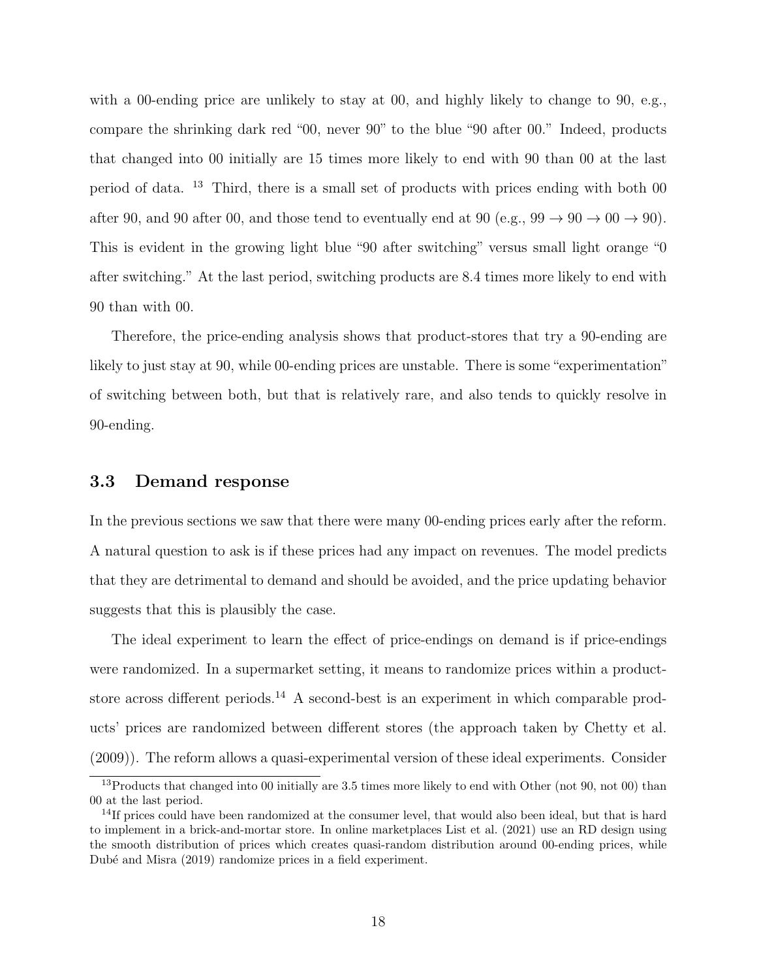with a 00-ending price are unlikely to stay at 00, and highly likely to change to 90, e.g., compare the shrinking dark red "00, never 90" to the blue "90 after 00." Indeed, products that changed into 00 initially are 15 times more likely to end with 90 than 00 at the last period of data. <sup>13</sup> Third, there is a small set of products with prices ending with both 00 after 90, and 90 after 00, and those tend to eventually end at 90 (e.g.,  $99 \rightarrow 90 \rightarrow 00 \rightarrow 90$ ). This is evident in the growing light blue "90 after switching" versus small light orange "0 after switching." At the last period, switching products are 8.4 times more likely to end with 90 than with 00.

Therefore, the price-ending analysis shows that product-stores that try a 90-ending are likely to just stay at 90, while 00-ending prices are unstable. There is some "experimentation" of switching between both, but that is relatively rare, and also tends to quickly resolve in 90-ending.

#### 3.3 Demand response

In the previous sections we saw that there were many 00-ending prices early after the reform. A natural question to ask is if these prices had any impact on revenues. The model predicts that they are detrimental to demand and should be avoided, and the price updating behavior suggests that this is plausibly the case.

The ideal experiment to learn the effect of price-endings on demand is if price-endings were randomized. In a supermarket setting, it means to randomize prices within a productstore across different periods.<sup>14</sup> A second-best is an experiment in which comparable products' prices are randomized between different stores (the approach taken by Chetty et al. (2009)). The reform allows a quasi-experimental version of these ideal experiments. Consider

<sup>&</sup>lt;sup>13</sup>Products that changed into 00 initially are 3.5 times more likely to end with Other (not 90, not 00) than 00 at the last period.

<sup>&</sup>lt;sup>14</sup>If prices could have been randomized at the consumer level, that would also been ideal, but that is hard to implement in a brick-and-mortar store. In online marketplaces List et al. (2021) use an RD design using the smooth distribution of prices which creates quasi-random distribution around 00-ending prices, while Dubé and Misra (2019) randomize prices in a field experiment.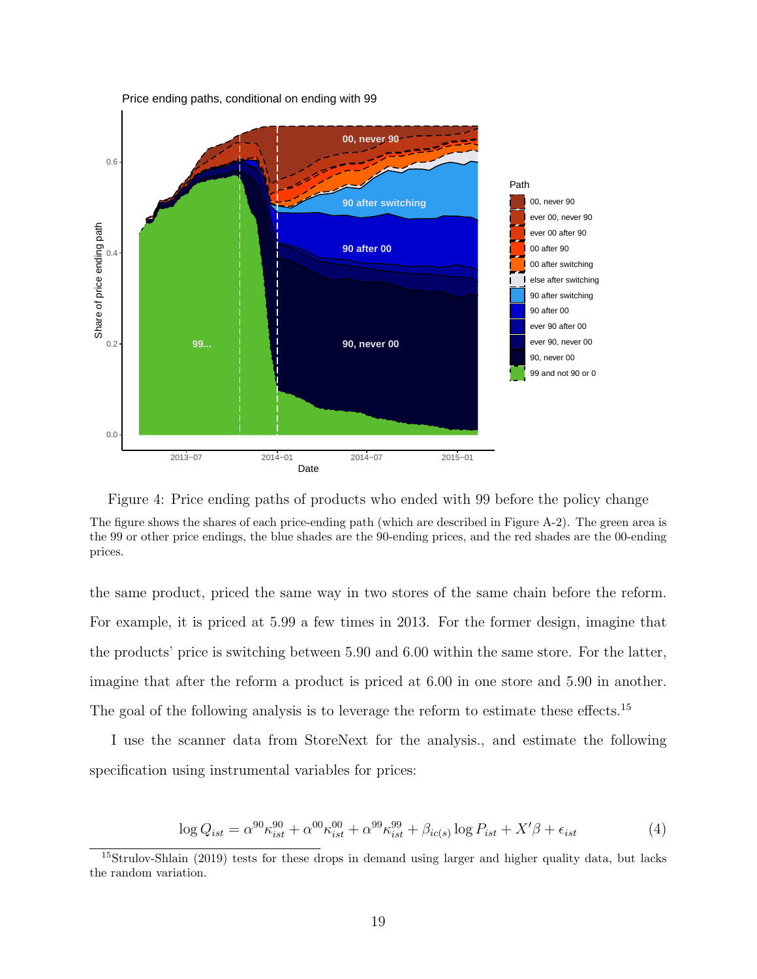

Price ending paths, conditional on ending with 99



The figure shows the shares of each price-ending path (which are described in Figure A-2). The green area is the 99 or other price endings, the blue shades are the 90-ending prices, and the red shades are the 00-ending prices.

the same product, priced the same way in two stores of the same chain before the reform. For example, it is priced at 5.99 a few times in 2013. For the former design, imagine that the products' price is switching between 5.90 and 6.00 within the same store. For the latter, imagine that after the reform a product is priced at 6.00 in one store and 5.90 in another. The goal of the following analysis is to leverage the reform to estimate these effects.<sup>15</sup>

I use the scanner data from StoreNext for the analysis., and estimate the following specification using instrumental variables for prices:

$$
\log Q_{ist} = \alpha^{90} \kappa_{ist}^{90} + \alpha^{00} \kappa_{ist}^{90} + \alpha^{99} \kappa_{ist}^{99} + \beta_{ic(s)} \log P_{ist} + X'\beta + \epsilon_{ist}
$$
(4)

<sup>15</sup>Strulov-Shlain (2019) tests for these drops in demand using larger and higher quality data, but lacks the random variation.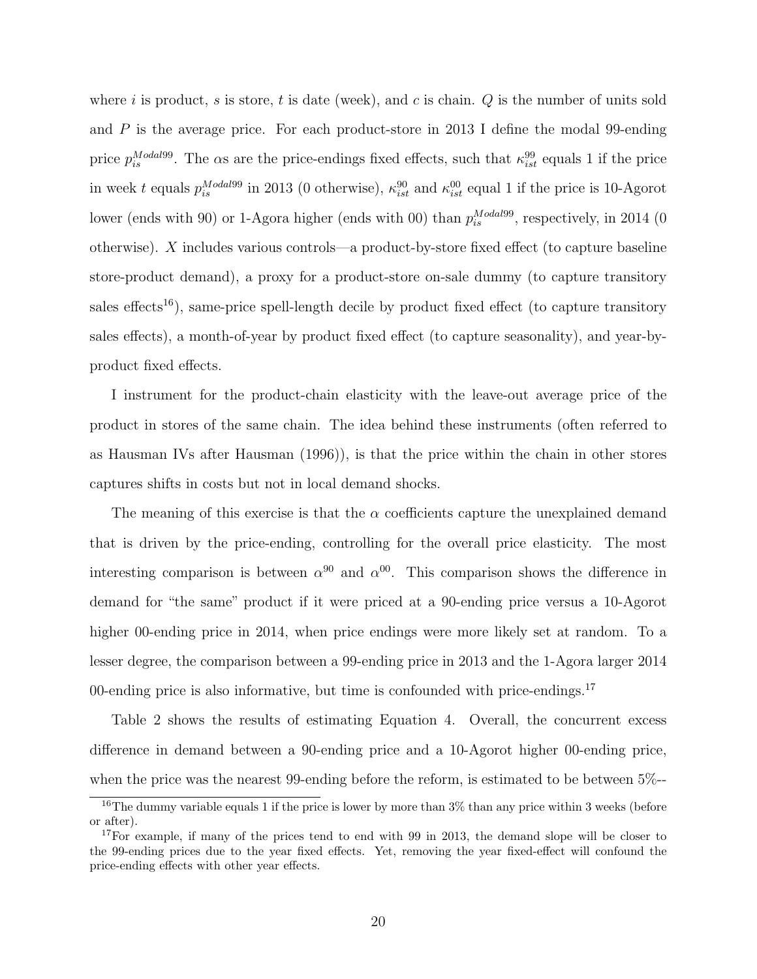where i is product, s is store, t is date (week), and c is chain.  $Q$  is the number of units sold and  $P$  is the average price. For each product-store in 2013 I define the modal 99-ending price  $p_{is}^{Modal99}$ . The  $\alpha s$  are the price-endings fixed effects, such that  $\kappa_{ist}^{99}$  equals 1 if the price in week t equals  $p_{is}^{Modal99}$  in 2013 (0 otherwise),  $\kappa_{ist}^{90}$  and  $\kappa_{ist}^{00}$  equal 1 if the price is 10-Agorot lower (ends with 90) or 1-Agora higher (ends with 00) than  $p_{is}^{Modal99}$ , respectively, in 2014 (0) otherwise). X includes various controls—a product-by-store fixed effect (to capture baseline store-product demand), a proxy for a product-store on-sale dummy (to capture transitory sales effects<sup>16</sup>), same-price spell-length decile by product fixed effect (to capture transitory sales effects), a month-of-year by product fixed effect (to capture seasonality), and year-byproduct fixed effects.

I instrument for the product-chain elasticity with the leave-out average price of the product in stores of the same chain. The idea behind these instruments (often referred to as Hausman IVs after Hausman (1996)), is that the price within the chain in other stores captures shifts in costs but not in local demand shocks.

The meaning of this exercise is that the  $\alpha$  coefficients capture the unexplained demand that is driven by the price-ending, controlling for the overall price elasticity. The most interesting comparison is between  $\alpha^{90}$  and  $\alpha^{00}$ . This comparison shows the difference in demand for "the same" product if it were priced at a 90-ending price versus a 10-Agorot higher 00-ending price in 2014, when price endings were more likely set at random. To a lesser degree, the comparison between a 99-ending price in 2013 and the 1-Agora larger 2014 00-ending price is also informative, but time is confounded with price-endings.<sup>17</sup>

Table 2 shows the results of estimating Equation 4. Overall, the concurrent excess difference in demand between a 90-ending price and a 10-Agorot higher 00-ending price, when the price was the nearest 99-ending before the reform, is estimated to be between 5%--

<sup>&</sup>lt;sup>16</sup>The dummy variable equals 1 if the price is lower by more than  $3\%$  than any price within 3 weeks (before or after).

<sup>&</sup>lt;sup>17</sup>For example, if many of the prices tend to end with 99 in 2013, the demand slope will be closer to the 99-ending prices due to the year fixed effects. Yet, removing the year fixed-effect will confound the price-ending effects with other year effects.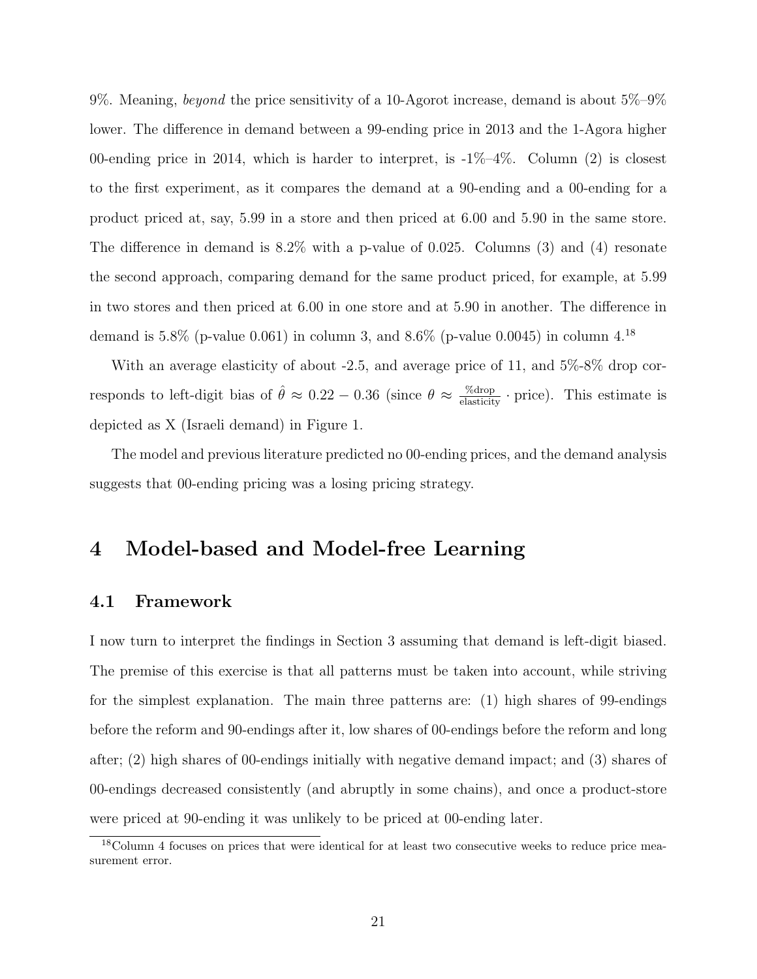9%. Meaning, *beyond* the price sensitivity of a 10-Agorot increase, demand is about  $5\%$ -9% lower. The difference in demand between a 99-ending price in 2013 and the 1-Agora higher 00-ending price in 2014, which is harder to interpret, is  $-1\%$ -4%. Column (2) is closest to the first experiment, as it compares the demand at a 90-ending and a 00-ending for a product priced at, say, 5.99 in a store and then priced at 6.00 and 5.90 in the same store. The difference in demand is 8.2% with a p-value of 0.025. Columns (3) and (4) resonate the second approach, comparing demand for the same product priced, for example, at 5.99 in two stores and then priced at 6.00 in one store and at 5.90 in another. The difference in demand is 5.8% (p-value 0.061) in column 3, and 8.6% (p-value 0.0045) in column  $4^{18}$ 

With an average elasticity of about -2.5, and average price of 11, and  $5\%$ -8% drop corresponds to left-digit bias of  $\hat{\theta} \approx 0.22 - 0.36$  (since  $\theta \approx \frac{\% \text{drop}}{\text{elasticity}} \cdot \text{price}$ ). This estimate is depicted as X (Israeli demand) in Figure 1.

The model and previous literature predicted no 00-ending prices, and the demand analysis suggests that 00-ending pricing was a losing pricing strategy.

# 4 Model-based and Model-free Learning

#### 4.1 Framework

I now turn to interpret the findings in Section 3 assuming that demand is left-digit biased. The premise of this exercise is that all patterns must be taken into account, while striving for the simplest explanation. The main three patterns are: (1) high shares of 99-endings before the reform and 90-endings after it, low shares of 00-endings before the reform and long after; (2) high shares of 00-endings initially with negative demand impact; and (3) shares of 00-endings decreased consistently (and abruptly in some chains), and once a product-store were priced at 90-ending it was unlikely to be priced at 00-ending later.

<sup>&</sup>lt;sup>18</sup>Column 4 focuses on prices that were identical for at least two consecutive weeks to reduce price measurement error.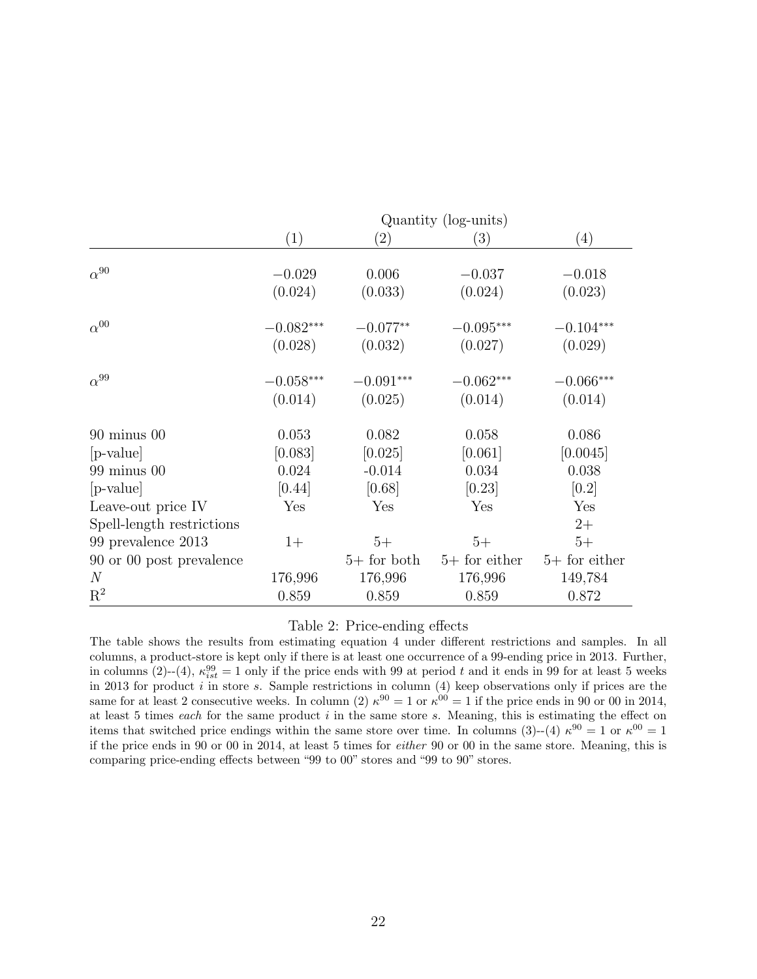|                                                 | Quantity (log-units) |                   |                 |                 |  |  |  |
|-------------------------------------------------|----------------------|-------------------|-----------------|-----------------|--|--|--|
|                                                 | (1)                  | $\left( 2\right)$ | (3)             | (4)             |  |  |  |
| $\alpha^{90}$                                   | $-0.029$             | 0.006             | $-0.037$        | $-0.018$        |  |  |  |
|                                                 | (0.024)              | (0.033)           | (0.024)         | (0.023)         |  |  |  |
| $\alpha^{00}$                                   | $-0.082***$          | $-0.077**$        | $-0.095***$     | $-0.104***$     |  |  |  |
|                                                 | (0.028)              | (0.032)           | (0.027)         | (0.029)         |  |  |  |
| $\alpha^{99}$                                   | $-0.058***$          | $-0.091***$       | $-0.062***$     | $-0.066***$     |  |  |  |
|                                                 | (0.014)              | (0.025)           | (0.014)         | (0.014)         |  |  |  |
| $90$ minus $00$                                 | 0.053                | 0.082             | 0.058           | 0.086           |  |  |  |
| [p-value]                                       | [0.083]              | [0.025]           | [0.061]         | [0.0045]        |  |  |  |
| $99 \text{ minus } 00$                          | 0.024                | $-0.014$          | 0.034           | 0.038           |  |  |  |
| [p-value]                                       | [0.44]               | [0.68]            | [0.23]          | [0.2]           |  |  |  |
| Leave-out price IV<br>Spell-length restrictions | Yes                  | Yes               | Yes             | Yes<br>$2+$     |  |  |  |
| 99 prevalence 2013                              | $1+$                 | $5+$              | $5+$            | $5+$            |  |  |  |
| 90 or 00 post prevalence                        |                      | $5+$ for both     | $5+$ for either | $5+$ for either |  |  |  |
| $\mathcal N$                                    | 176,996              | 176,996           | 176,996         | 149,784         |  |  |  |
| $\mathbf{R}^2$                                  | 0.859                | 0.859             | 0.859           | 0.872           |  |  |  |

#### Table 2: Price-ending effects

The table shows the results from estimating equation 4 under different restrictions and samples. In all columns, a product-store is kept only if there is at least one occurrence of a 99-ending price in 2013. Further, in columns (2)--(4),  $\kappa_{ist}^{99} = 1$  only if the price ends with 99 at period t and it ends in 99 for at least 5 weeks in 2013 for product i in store s. Sample restrictions in column  $(4)$  keep observations only if prices are the same for at least 2 consecutive weeks. In column (2)  $\kappa^{90} = 1$  or  $\kappa^{00} = 1$  if the price ends in 90 or 00 in 2014, at least 5 times *each* for the same product  $i$  in the same store  $s$ . Meaning, this is estimating the effect on items that switched price endings within the same store over time. In columns (3)--(4)  $\kappa^{90} = 1$  or  $\kappa^{00} = 1$ if the price ends in 90 or 00 in 2014, at least 5 times for either 90 or 00 in the same store. Meaning, this is comparing price-ending effects between "99 to 00" stores and "99 to 90" stores.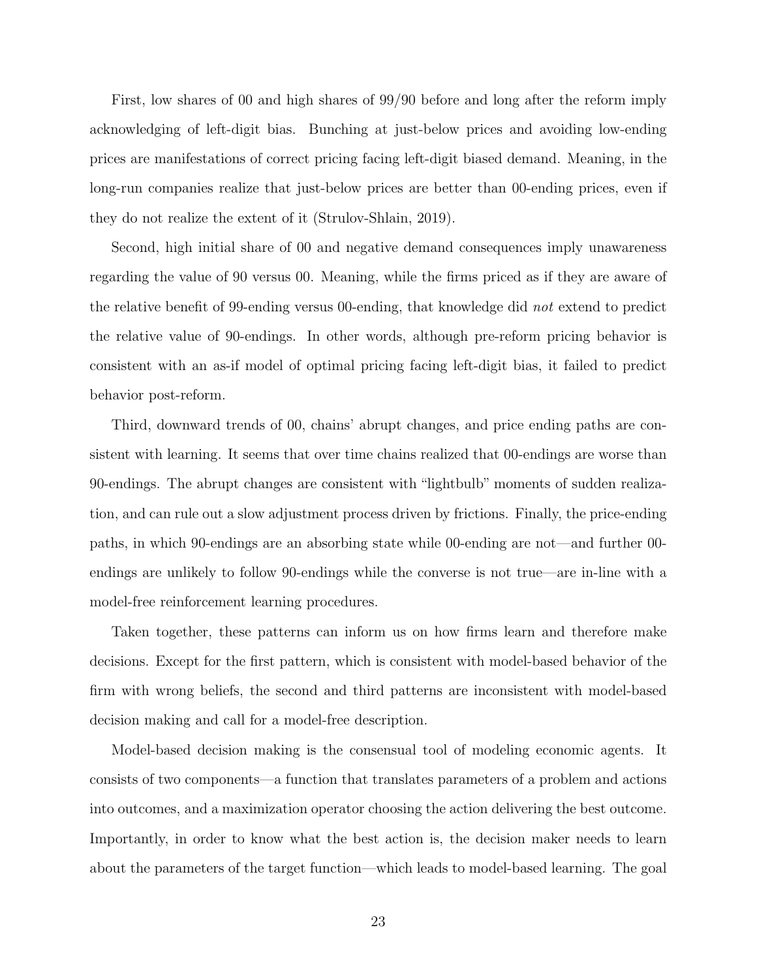First, low shares of 00 and high shares of 99/90 before and long after the reform imply acknowledging of left-digit bias. Bunching at just-below prices and avoiding low-ending prices are manifestations of correct pricing facing left-digit biased demand. Meaning, in the long-run companies realize that just-below prices are better than 00-ending prices, even if they do not realize the extent of it (Strulov-Shlain, 2019).

Second, high initial share of 00 and negative demand consequences imply unawareness regarding the value of 90 versus 00. Meaning, while the firms priced as if they are aware of the relative benefit of 99-ending versus 00-ending, that knowledge did not extend to predict the relative value of 90-endings. In other words, although pre-reform pricing behavior is consistent with an as-if model of optimal pricing facing left-digit bias, it failed to predict behavior post-reform.

Third, downward trends of 00, chains' abrupt changes, and price ending paths are consistent with learning. It seems that over time chains realized that 00-endings are worse than 90-endings. The abrupt changes are consistent with "lightbulb" moments of sudden realization, and can rule out a slow adjustment process driven by frictions. Finally, the price-ending paths, in which 90-endings are an absorbing state while 00-ending are not—and further 00 endings are unlikely to follow 90-endings while the converse is not true—are in-line with a model-free reinforcement learning procedures.

Taken together, these patterns can inform us on how firms learn and therefore make decisions. Except for the first pattern, which is consistent with model-based behavior of the firm with wrong beliefs, the second and third patterns are inconsistent with model-based decision making and call for a model-free description.

Model-based decision making is the consensual tool of modeling economic agents. It consists of two components—a function that translates parameters of a problem and actions into outcomes, and a maximization operator choosing the action delivering the best outcome. Importantly, in order to know what the best action is, the decision maker needs to learn about the parameters of the target function—which leads to model-based learning. The goal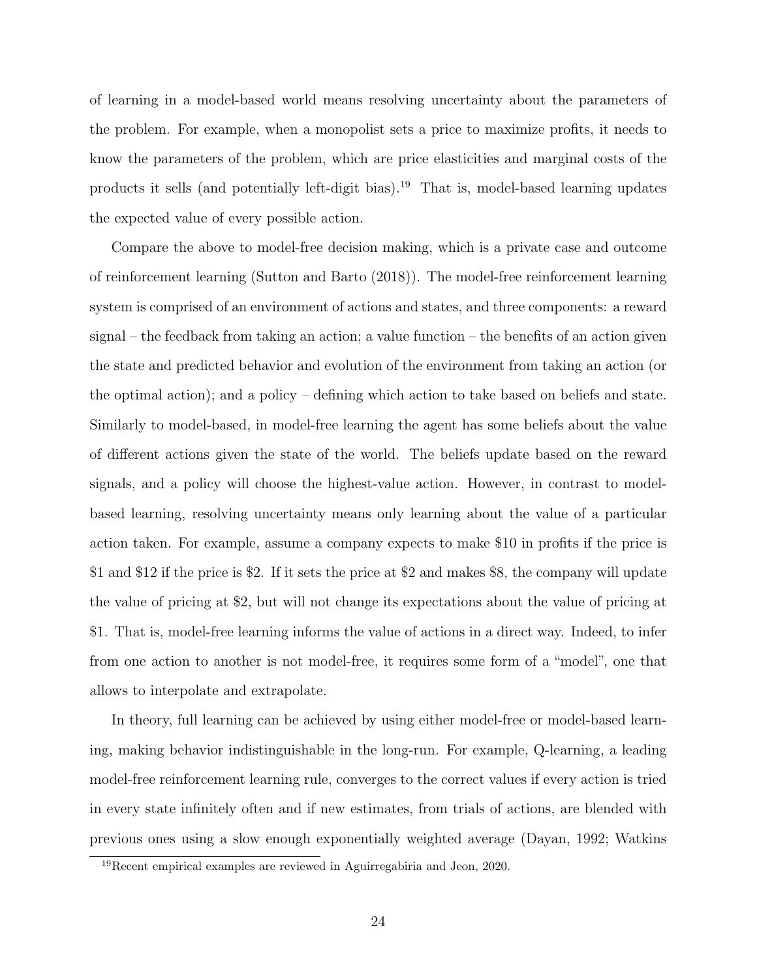of learning in a model-based world means resolving uncertainty about the parameters of the problem. For example, when a monopolist sets a price to maximize profits, it needs to know the parameters of the problem, which are price elasticities and marginal costs of the products it sells (and potentially left-digit bias).<sup>19</sup> That is, model-based learning updates the expected value of every possible action.

Compare the above to model-free decision making, which is a private case and outcome of reinforcement learning (Sutton and Barto (2018)). The model-free reinforcement learning system is comprised of an environment of actions and states, and three components: a reward signal – the feedback from taking an action; a value function – the benefits of an action given the state and predicted behavior and evolution of the environment from taking an action (or the optimal action); and a policy – defining which action to take based on beliefs and state. Similarly to model-based, in model-free learning the agent has some beliefs about the value of different actions given the state of the world. The beliefs update based on the reward signals, and a policy will choose the highest-value action. However, in contrast to modelbased learning, resolving uncertainty means only learning about the value of a particular action taken. For example, assume a company expects to make \$10 in profits if the price is \$1 and \$12 if the price is \$2. If it sets the price at \$2 and makes \$8, the company will update the value of pricing at \$2, but will not change its expectations about the value of pricing at \$1. That is, model-free learning informs the value of actions in a direct way. Indeed, to infer from one action to another is not model-free, it requires some form of a "model", one that allows to interpolate and extrapolate.

In theory, full learning can be achieved by using either model-free or model-based learning, making behavior indistinguishable in the long-run. For example, Q-learning, a leading model-free reinforcement learning rule, converges to the correct values if every action is tried in every state infinitely often and if new estimates, from trials of actions, are blended with previous ones using a slow enough exponentially weighted average (Dayan, 1992; Watkins

<sup>19</sup>Recent empirical examples are reviewed in Aguirregabiria and Jeon, 2020.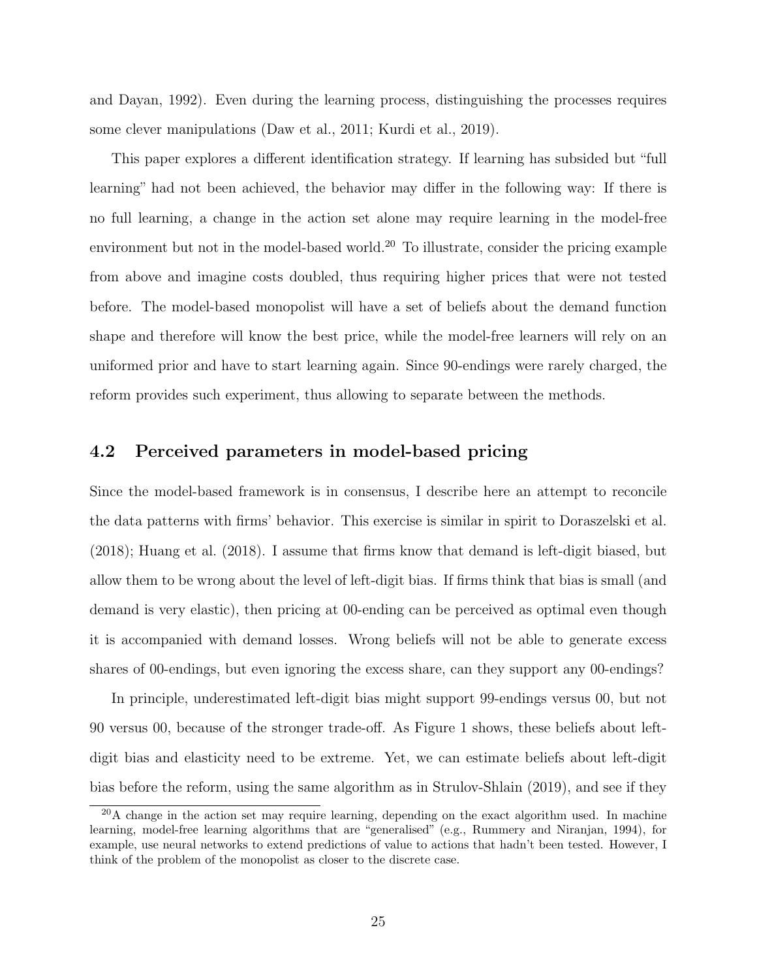and Dayan, 1992). Even during the learning process, distinguishing the processes requires some clever manipulations (Daw et al., 2011; Kurdi et al., 2019).

This paper explores a different identification strategy. If learning has subsided but "full learning" had not been achieved, the behavior may differ in the following way: If there is no full learning, a change in the action set alone may require learning in the model-free environment but not in the model-based world.<sup>20</sup> To illustrate, consider the pricing example from above and imagine costs doubled, thus requiring higher prices that were not tested before. The model-based monopolist will have a set of beliefs about the demand function shape and therefore will know the best price, while the model-free learners will rely on an uniformed prior and have to start learning again. Since 90-endings were rarely charged, the reform provides such experiment, thus allowing to separate between the methods.

#### 4.2 Perceived parameters in model-based pricing

Since the model-based framework is in consensus, I describe here an attempt to reconcile the data patterns with firms' behavior. This exercise is similar in spirit to Doraszelski et al. (2018); Huang et al. (2018). I assume that firms know that demand is left-digit biased, but allow them to be wrong about the level of left-digit bias. If firms think that bias is small (and demand is very elastic), then pricing at 00-ending can be perceived as optimal even though it is accompanied with demand losses. Wrong beliefs will not be able to generate excess shares of 00-endings, but even ignoring the excess share, can they support any 00-endings?

In principle, underestimated left-digit bias might support 99-endings versus 00, but not 90 versus 00, because of the stronger trade-off. As Figure 1 shows, these beliefs about leftdigit bias and elasticity need to be extreme. Yet, we can estimate beliefs about left-digit bias before the reform, using the same algorithm as in Strulov-Shlain (2019), and see if they

<sup>&</sup>lt;sup>20</sup>A change in the action set may require learning, depending on the exact algorithm used. In machine learning, model-free learning algorithms that are "generalised" (e.g., Rummery and Niranjan, 1994), for example, use neural networks to extend predictions of value to actions that hadn't been tested. However, I think of the problem of the monopolist as closer to the discrete case.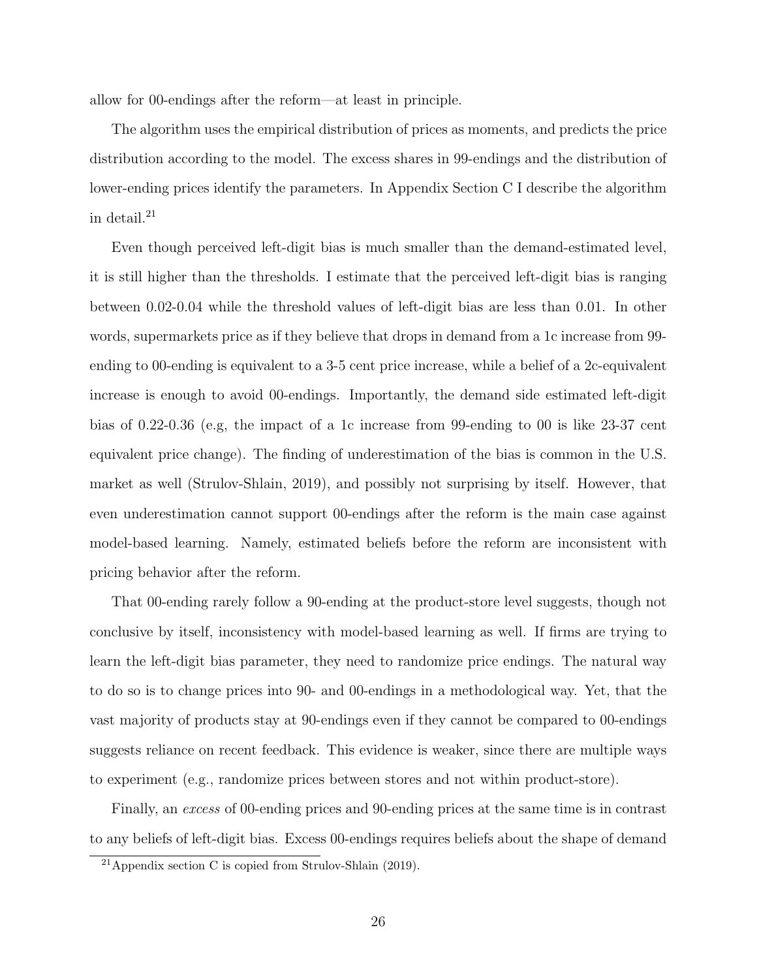allow for 00-endings after the reform—at least in principle.

The algorithm uses the empirical distribution of prices as moments, and predicts the price distribution according to the model. The excess shares in 99-endings and the distribution of lower-ending prices identify the parameters. In Appendix Section C I describe the algorithm in detail.<sup>21</sup>

Even though perceived left-digit bias is much smaller than the demand-estimated level, it is still higher than the thresholds. I estimate that the perceived left-digit bias is ranging between 0.02-0.04 while the threshold values of left-digit bias are less than 0.01. In other words, supermarkets price as if they believe that drops in demand from a 1c increase from 99 ending to 00-ending is equivalent to a 3-5 cent price increase, while a belief of a 2c-equivalent increase is enough to avoid 00-endings. Importantly, the demand side estimated left-digit bias of 0.22-0.36 (e.g, the impact of a 1c increase from 99-ending to 00 is like 23-37 cent equivalent price change). The finding of underestimation of the bias is common in the U.S. market as well (Strulov-Shlain, 2019), and possibly not surprising by itself. However, that even underestimation cannot support 00-endings after the reform is the main case against model-based learning. Namely, estimated beliefs before the reform are inconsistent with pricing behavior after the reform.

That 00-ending rarely follow a 90-ending at the product-store level suggests, though not conclusive by itself, inconsistency with model-based learning as well. If firms are trying to learn the left-digit bias parameter, they need to randomize price endings. The natural way to do so is to change prices into 90- and 00-endings in a methodological way. Yet, that the vast majority of products stay at 90-endings even if they cannot be compared to 00-endings suggests reliance on recent feedback. This evidence is weaker, since there are multiple ways to experiment (e.g., randomize prices between stores and not within product-store).

Finally, an excess of 00-ending prices and 90-ending prices at the same time is in contrast to any beliefs of left-digit bias. Excess 00-endings requires beliefs about the shape of demand

 $21$ Appendix section C is copied from Strulov-Shlain (2019).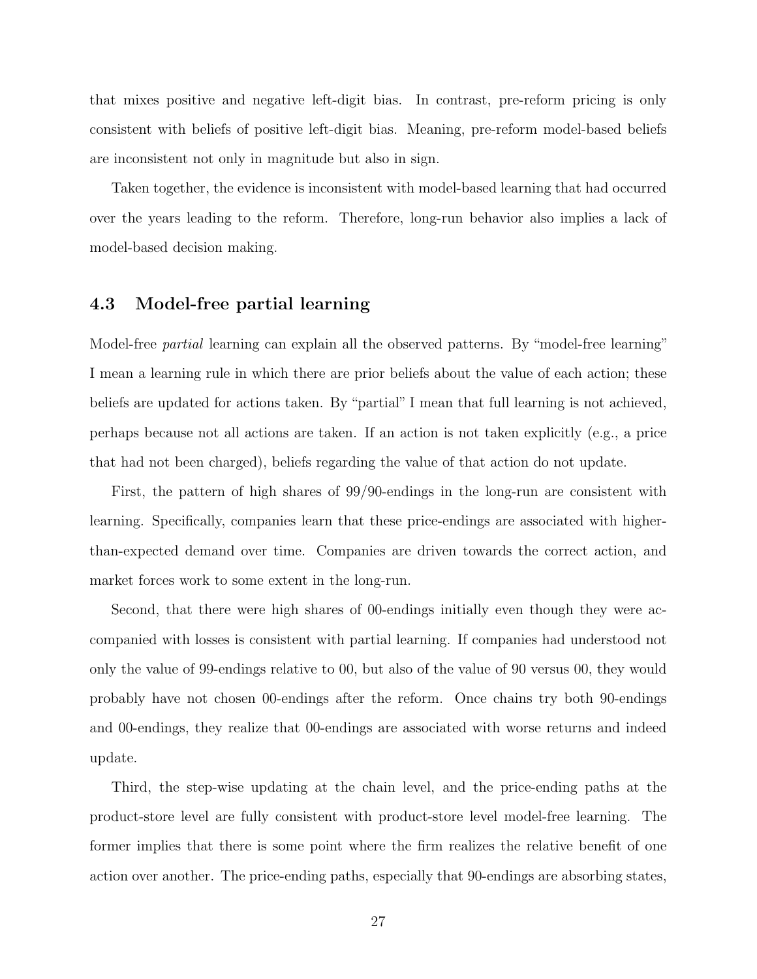that mixes positive and negative left-digit bias. In contrast, pre-reform pricing is only consistent with beliefs of positive left-digit bias. Meaning, pre-reform model-based beliefs are inconsistent not only in magnitude but also in sign.

Taken together, the evidence is inconsistent with model-based learning that had occurred over the years leading to the reform. Therefore, long-run behavior also implies a lack of model-based decision making.

#### 4.3 Model-free partial learning

Model-free *partial* learning can explain all the observed patterns. By "model-free learning" I mean a learning rule in which there are prior beliefs about the value of each action; these beliefs are updated for actions taken. By "partial" I mean that full learning is not achieved, perhaps because not all actions are taken. If an action is not taken explicitly (e.g., a price that had not been charged), beliefs regarding the value of that action do not update.

First, the pattern of high shares of 99/90-endings in the long-run are consistent with learning. Specifically, companies learn that these price-endings are associated with higherthan-expected demand over time. Companies are driven towards the correct action, and market forces work to some extent in the long-run.

Second, that there were high shares of 00-endings initially even though they were accompanied with losses is consistent with partial learning. If companies had understood not only the value of 99-endings relative to 00, but also of the value of 90 versus 00, they would probably have not chosen 00-endings after the reform. Once chains try both 90-endings and 00-endings, they realize that 00-endings are associated with worse returns and indeed update.

Third, the step-wise updating at the chain level, and the price-ending paths at the product-store level are fully consistent with product-store level model-free learning. The former implies that there is some point where the firm realizes the relative benefit of one action over another. The price-ending paths, especially that 90-endings are absorbing states,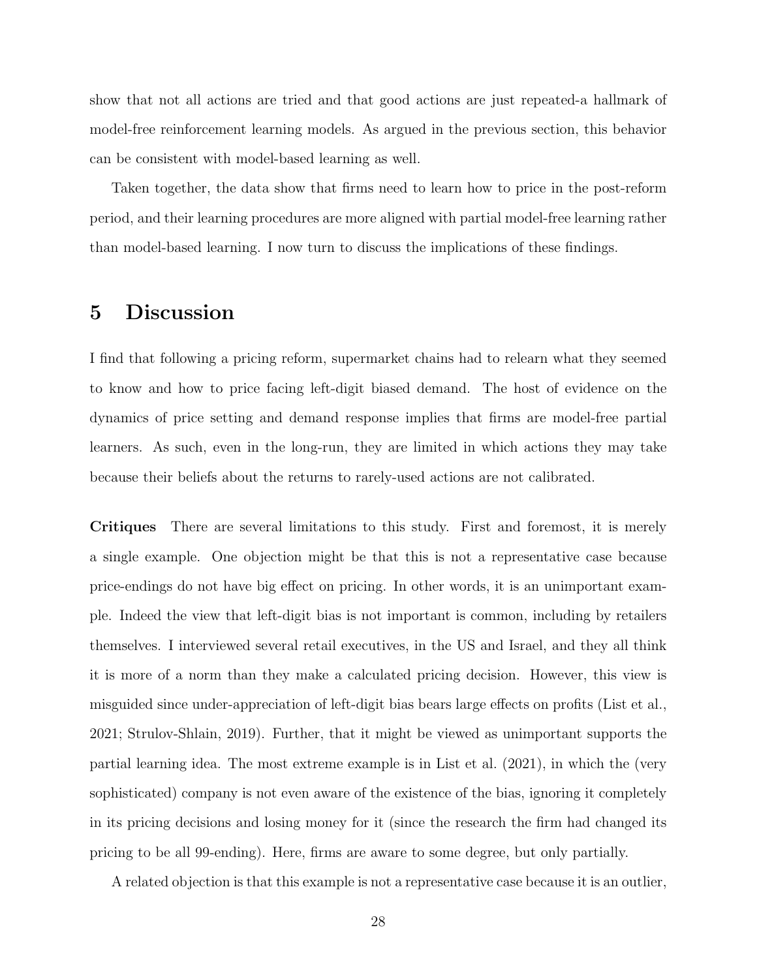show that not all actions are tried and that good actions are just repeated-a hallmark of model-free reinforcement learning models. As argued in the previous section, this behavior can be consistent with model-based learning as well.

Taken together, the data show that firms need to learn how to price in the post-reform period, and their learning procedures are more aligned with partial model-free learning rather than model-based learning. I now turn to discuss the implications of these findings.

# 5 Discussion

I find that following a pricing reform, supermarket chains had to relearn what they seemed to know and how to price facing left-digit biased demand. The host of evidence on the dynamics of price setting and demand response implies that firms are model-free partial learners. As such, even in the long-run, they are limited in which actions they may take because their beliefs about the returns to rarely-used actions are not calibrated.

Critiques There are several limitations to this study. First and foremost, it is merely a single example. One objection might be that this is not a representative case because price-endings do not have big effect on pricing. In other words, it is an unimportant example. Indeed the view that left-digit bias is not important is common, including by retailers themselves. I interviewed several retail executives, in the US and Israel, and they all think it is more of a norm than they make a calculated pricing decision. However, this view is misguided since under-appreciation of left-digit bias bears large effects on profits (List et al., 2021; Strulov-Shlain, 2019). Further, that it might be viewed as unimportant supports the partial learning idea. The most extreme example is in List et al. (2021), in which the (very sophisticated) company is not even aware of the existence of the bias, ignoring it completely in its pricing decisions and losing money for it (since the research the firm had changed its pricing to be all 99-ending). Here, firms are aware to some degree, but only partially.

A related objection is that this example is not a representative case because it is an outlier,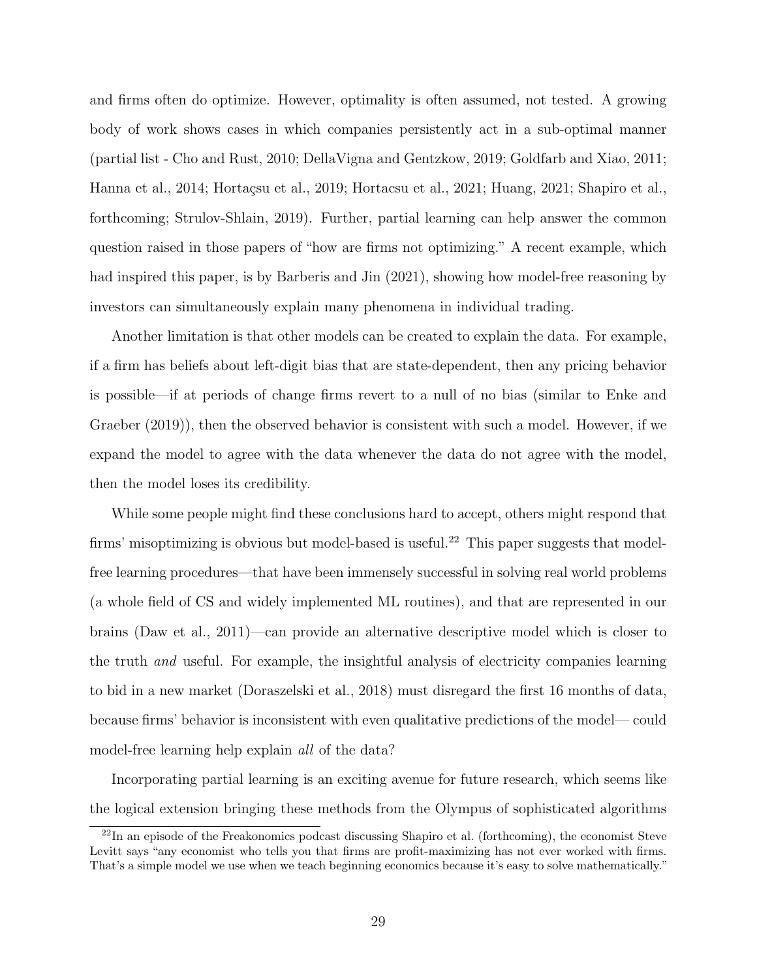and firms often do optimize. However, optimality is often assumed, not tested. A growing body of work shows cases in which companies persistently act in a sub-optimal manner (partial list - Cho and Rust, 2010; DellaVigna and Gentzkow, 2019; Goldfarb and Xiao, 2011; Hanna et al., 2014; Hortaçsu et al., 2019; Hortacsu et al., 2021; Huang, 2021; Shapiro et al., forthcoming; Strulov-Shlain, 2019). Further, partial learning can help answer the common question raised in those papers of "how are firms not optimizing." A recent example, which had inspired this paper, is by Barberis and Jin (2021), showing how model-free reasoning by investors can simultaneously explain many phenomena in individual trading.

Another limitation is that other models can be created to explain the data. For example, if a firm has beliefs about left-digit bias that are state-dependent, then any pricing behavior is possible—if at periods of change firms revert to a null of no bias (similar to Enke and Graeber (2019)), then the observed behavior is consistent with such a model. However, if we expand the model to agree with the data whenever the data do not agree with the model, then the model loses its credibility.

While some people might find these conclusions hard to accept, others might respond that firms' misoptimizing is obvious but model-based is useful.<sup>22</sup> This paper suggests that modelfree learning procedures—that have been immensely successful in solving real world problems (a whole field of CS and widely implemented ML routines), and that are represented in our brains (Daw et al., 2011)—can provide an alternative descriptive model which is closer to the truth and useful. For example, the insightful analysis of electricity companies learning to bid in a new market (Doraszelski et al., 2018) must disregard the first 16 months of data, because firms' behavior is inconsistent with even qualitative predictions of the model— could model-free learning help explain *all* of the data?

Incorporating partial learning is an exciting avenue for future research, which seems like the logical extension bringing these methods from the Olympus of sophisticated algorithms

 $^{22}$ In an episode of the Freakonomics podcast discussing Shapiro et al. (forthcoming), the economist Steve Levitt says "any economist who tells you that firms are profit-maximizing has not ever worked with firms. That's a simple model we use when we teach beginning economics because it's easy to solve mathematically."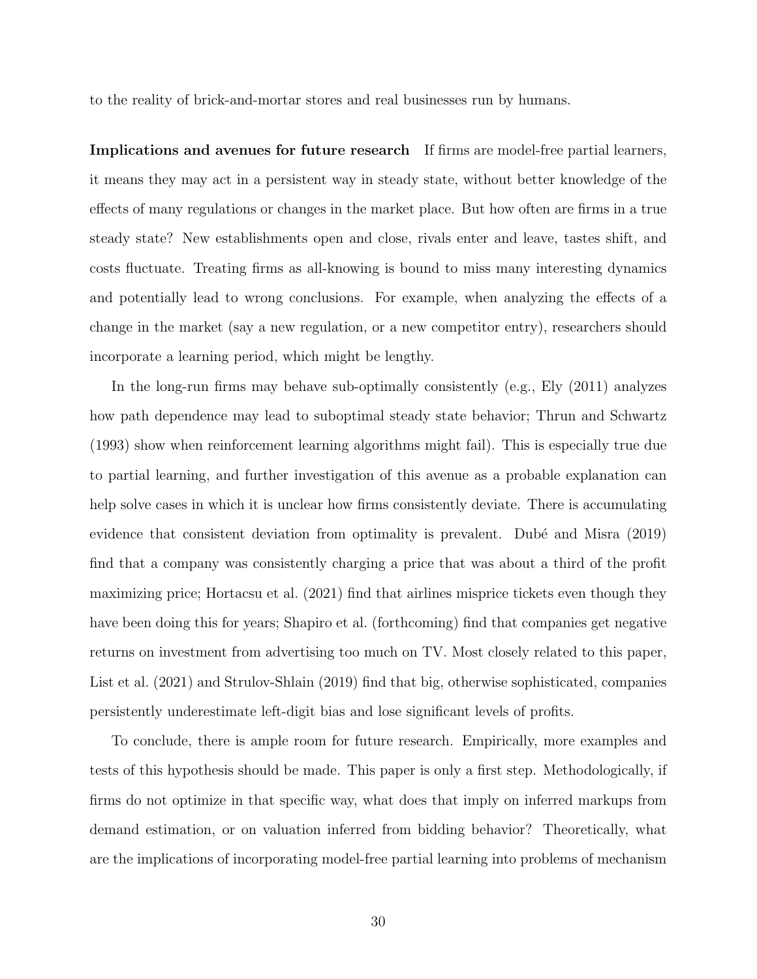to the reality of brick-and-mortar stores and real businesses run by humans.

Implications and avenues for future research If firms are model-free partial learners, it means they may act in a persistent way in steady state, without better knowledge of the effects of many regulations or changes in the market place. But how often are firms in a true steady state? New establishments open and close, rivals enter and leave, tastes shift, and costs fluctuate. Treating firms as all-knowing is bound to miss many interesting dynamics and potentially lead to wrong conclusions. For example, when analyzing the effects of a change in the market (say a new regulation, or a new competitor entry), researchers should incorporate a learning period, which might be lengthy.

In the long-run firms may behave sub-optimally consistently (e.g., Ely (2011) analyzes how path dependence may lead to suboptimal steady state behavior; Thrun and Schwartz (1993) show when reinforcement learning algorithms might fail). This is especially true due to partial learning, and further investigation of this avenue as a probable explanation can help solve cases in which it is unclear how firms consistently deviate. There is accumulating evidence that consistent deviation from optimality is prevalent. Dubé and Misra (2019) find that a company was consistently charging a price that was about a third of the profit maximizing price; Hortacsu et al. (2021) find that airlines misprice tickets even though they have been doing this for years; Shapiro et al. (forthcoming) find that companies get negative returns on investment from advertising too much on TV. Most closely related to this paper, List et al. (2021) and Strulov-Shlain (2019) find that big, otherwise sophisticated, companies persistently underestimate left-digit bias and lose significant levels of profits.

To conclude, there is ample room for future research. Empirically, more examples and tests of this hypothesis should be made. This paper is only a first step. Methodologically, if firms do not optimize in that specific way, what does that imply on inferred markups from demand estimation, or on valuation inferred from bidding behavior? Theoretically, what are the implications of incorporating model-free partial learning into problems of mechanism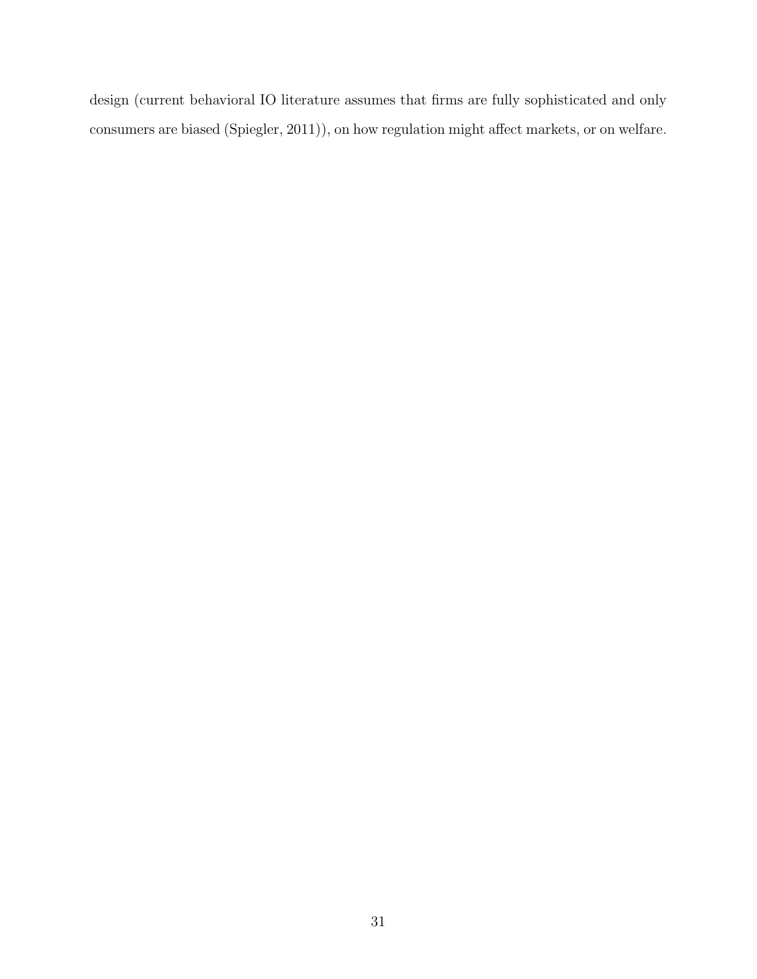design (current behavioral IO literature assumes that firms are fully sophisticated and only consumers are biased (Spiegler, 2011)), on how regulation might affect markets, or on welfare.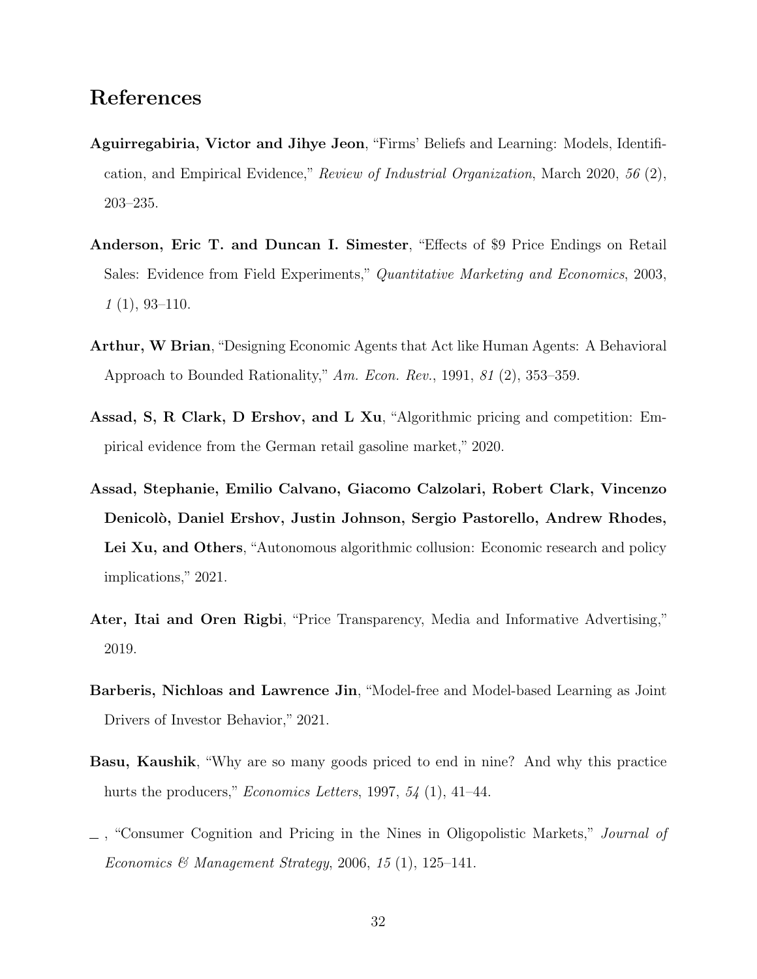# References

- Aguirregabiria, Victor and Jihye Jeon, "Firms' Beliefs and Learning: Models, Identification, and Empirical Evidence," Review of Industrial Organization, March 2020, 56 (2), 203–235.
- Anderson, Eric T. and Duncan I. Simester, "Effects of \$9 Price Endings on Retail Sales: Evidence from Field Experiments," Quantitative Marketing and Economics, 2003,  $1(1), 93-110.$
- Arthur, W Brian, "Designing Economic Agents that Act like Human Agents: A Behavioral Approach to Bounded Rationality," Am. Econ. Rev., 1991, 81 (2), 353–359.
- Assad, S, R Clark, D Ershov, and L Xu, "Algorithmic pricing and competition: Empirical evidence from the German retail gasoline market," 2020.
- Assad, Stephanie, Emilio Calvano, Giacomo Calzolari, Robert Clark, Vincenzo Denicolò, Daniel Ershov, Justin Johnson, Sergio Pastorello, Andrew Rhodes, Lei Xu, and Others, "Autonomous algorithmic collusion: Economic research and policy implications," 2021.
- Ater, Itai and Oren Rigbi, "Price Transparency, Media and Informative Advertising," 2019.
- Barberis, Nichloas and Lawrence Jin, "Model-free and Model-based Learning as Joint Drivers of Investor Behavior," 2021.
- Basu, Kaushik, "Why are so many goods priced to end in nine? And why this practice hurts the producers," *Economics Letters*, 1997,  $54$  (1), 41–44.
- , "Consumer Cognition and Pricing in the Nines in Oligopolistic Markets," Journal of Economics & Management Strategy, 2006, 15 (1), 125-141.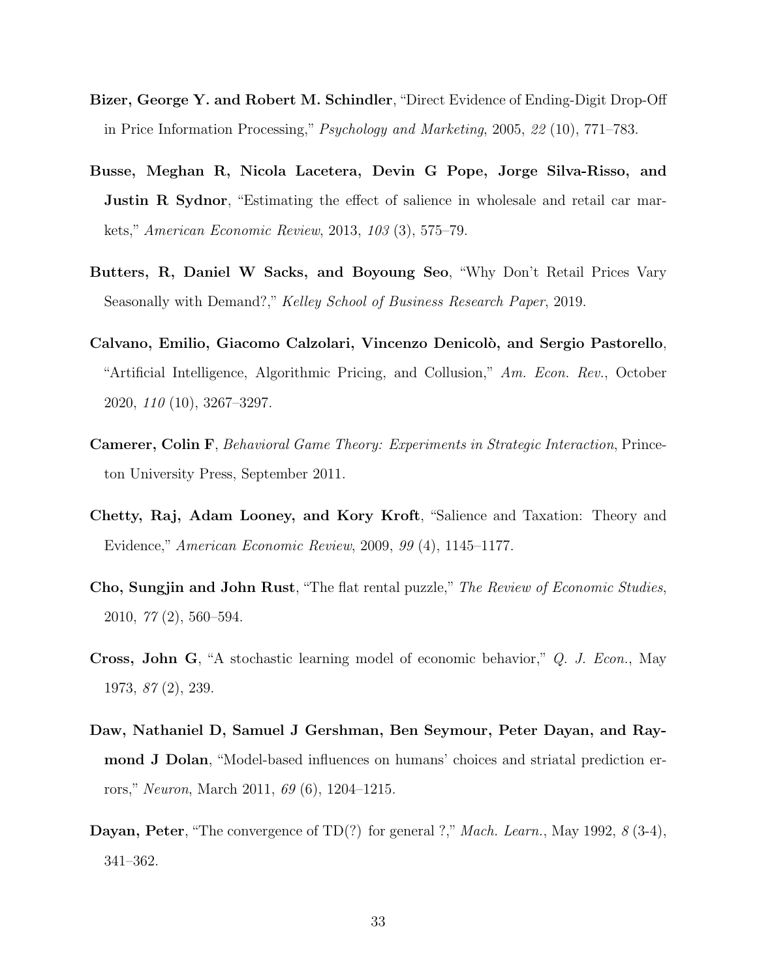- Bizer, George Y. and Robert M. Schindler, "Direct Evidence of Ending-Digit Drop-Off in Price Information Processing," Psychology and Marketing, 2005, 22 (10), 771–783.
- Busse, Meghan R, Nicola Lacetera, Devin G Pope, Jorge Silva-Risso, and Justin R Sydnor, "Estimating the effect of salience in wholesale and retail car markets," American Economic Review, 2013, 103 (3), 575–79.
- Butters, R, Daniel W Sacks, and Boyoung Seo, "Why Don't Retail Prices Vary Seasonally with Demand?," Kelley School of Business Research Paper, 2019.
- Calvano, Emilio, Giacomo Calzolari, Vincenzo Denicol`o, and Sergio Pastorello, "Artificial Intelligence, Algorithmic Pricing, and Collusion," Am. Econ. Rev., October 2020, 110 (10), 3267–3297.
- Camerer, Colin F, Behavioral Game Theory: Experiments in Strategic Interaction, Princeton University Press, September 2011.
- Chetty, Raj, Adam Looney, and Kory Kroft, "Salience and Taxation: Theory and Evidence," American Economic Review, 2009, 99 (4), 1145–1177.
- Cho, Sungjin and John Rust, "The flat rental puzzle," The Review of Economic Studies, 2010, 77 (2), 560–594.
- Cross, John G, "A stochastic learning model of economic behavior," Q. J. Econ., May 1973, 87 (2), 239.
- Daw, Nathaniel D, Samuel J Gershman, Ben Seymour, Peter Dayan, and Raymond J Dolan, "Model-based influences on humans' choices and striatal prediction errors," Neuron, March 2011, 69 (6), 1204–1215.
- Dayan, Peter, "The convergence of TD(?) for general ?," *Mach. Learn.*, May 1992, 8 (3-4), 341–362.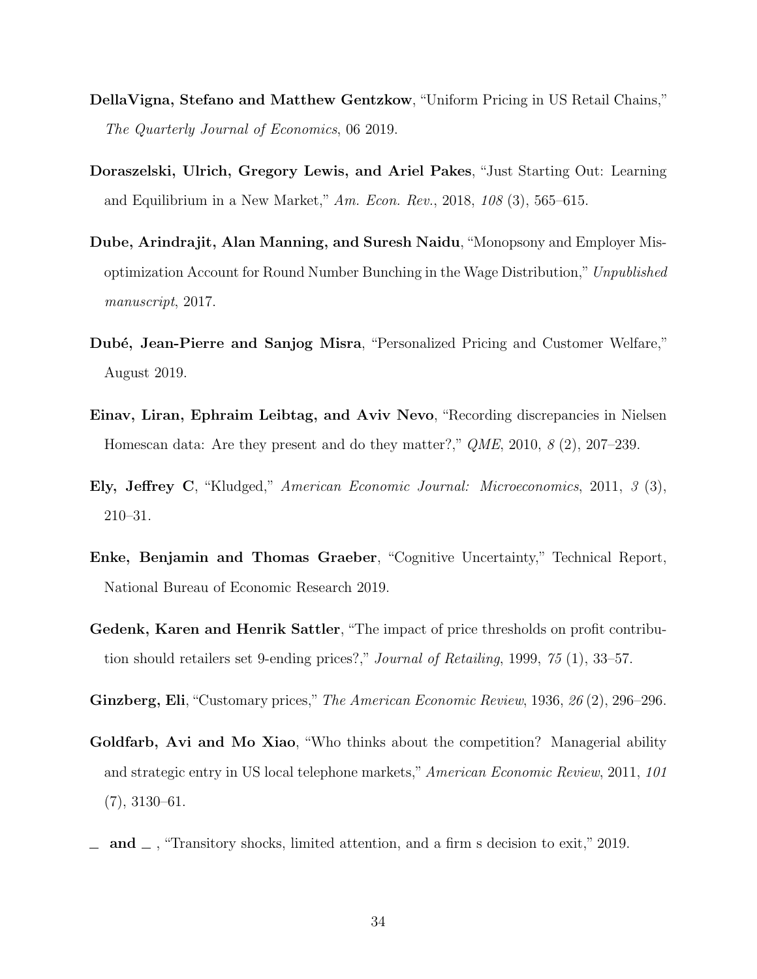- DellaVigna, Stefano and Matthew Gentzkow, "Uniform Pricing in US Retail Chains," The Quarterly Journal of Economics, 06 2019.
- Doraszelski, Ulrich, Gregory Lewis, and Ariel Pakes, "Just Starting Out: Learning and Equilibrium in a New Market," Am. Econ. Rev., 2018, 108 (3), 565–615.
- Dube, Arindrajit, Alan Manning, and Suresh Naidu, "Monopsony and Employer Misoptimization Account for Round Number Bunching in the Wage Distribution,"Unpublished manuscript, 2017.
- Dubé, Jean-Pierre and Sanjog Misra, "Personalized Pricing and Customer Welfare," August 2019.
- Einav, Liran, Ephraim Leibtag, and Aviv Nevo, "Recording discrepancies in Nielsen Homescan data: Are they present and do they matter?,"  $QME$ , 2010, 8 (2), 207–239.
- Ely, Jeffrey C, "Kludged," American Economic Journal: Microeconomics, 2011, 3 (3), 210–31.
- Enke, Benjamin and Thomas Graeber, "Cognitive Uncertainty," Technical Report, National Bureau of Economic Research 2019.
- Gedenk, Karen and Henrik Sattler, "The impact of price thresholds on profit contribution should retailers set 9-ending prices?," Journal of Retailing, 1999, 75 (1), 33–57.
- Ginzberg, Eli, "Customary prices," The American Economic Review, 1936, 26 (2), 296–296.
- Goldfarb, Avi and Mo Xiao, "Who thinks about the competition? Managerial ability and strategic entry in US local telephone markets," American Economic Review, 2011, 101 (7), 3130–61.
- and  $\Box$ , "Transitory shocks, limited attention, and a firm s decision to exit," 2019.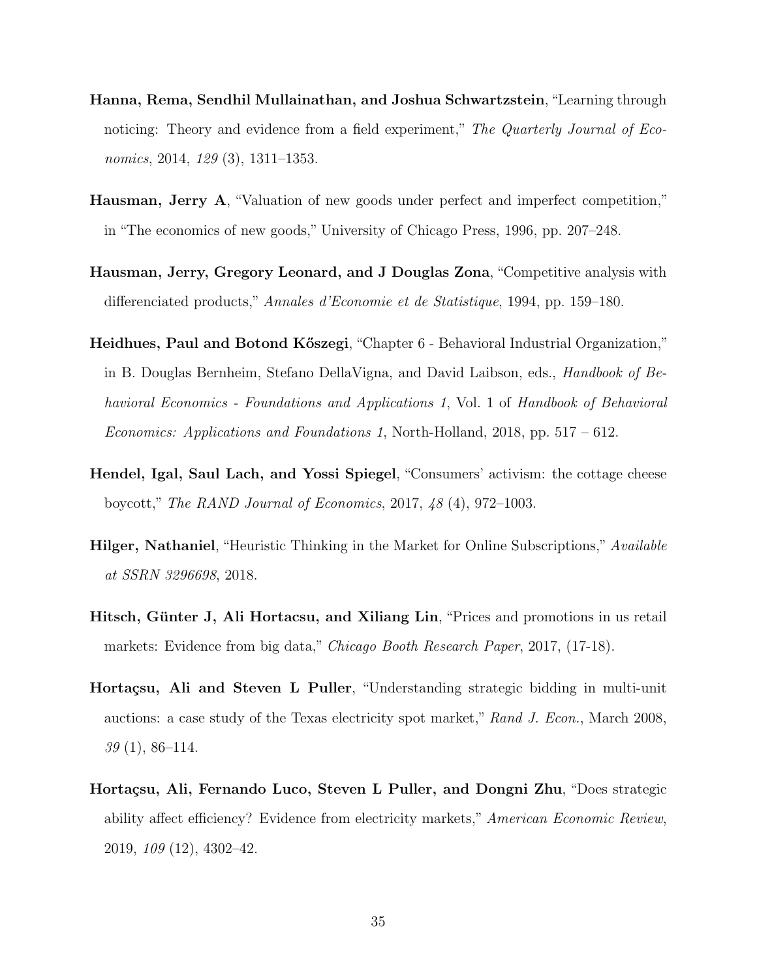- Hanna, Rema, Sendhil Mullainathan, and Joshua Schwartzstein, "Learning through noticing: Theory and evidence from a field experiment," The Quarterly Journal of Economics, 2014, 129 (3), 1311–1353.
- Hausman, Jerry A, "Valuation of new goods under perfect and imperfect competition," in "The economics of new goods," University of Chicago Press, 1996, pp. 207–248.
- Hausman, Jerry, Gregory Leonard, and J Douglas Zona, "Competitive analysis with differenciated products," Annales d'Economie et de Statistique, 1994, pp. 159–180.
- Heidhues, Paul and Botond Kőszegi, "Chapter 6 Behavioral Industrial Organization," in B. Douglas Bernheim, Stefano DellaVigna, and David Laibson, eds., Handbook of Behavioral Economics - Foundations and Applications 1, Vol. 1 of Handbook of Behavioral Economics: Applications and Foundations 1, North-Holland, 2018, pp.  $517 - 612$ .
- Hendel, Igal, Saul Lach, and Yossi Spiegel, "Consumers' activism: the cottage cheese boycott," The RAND Journal of Economics, 2017, 48 (4), 972–1003.
- **Hilger, Nathaniel**, "Heuristic Thinking in the Market for Online Subscriptions," *Available* at SSRN 3296698, 2018.
- Hitsch, Günter J, Ali Hortacsu, and Xiliang Lin, "Prices and promotions in us retail markets: Evidence from big data," Chicago Booth Research Paper, 2017, (17-18).
- Hortaçsu, Ali and Steven L Puller, "Understanding strategic bidding in multi-unit auctions: a case study of the Texas electricity spot market," Rand J. Econ., March 2008, 39 (1), 86–114.
- Hortaçsu, Ali, Fernando Luco, Steven L Puller, and Dongni Zhu, "Does strategic ability affect efficiency? Evidence from electricity markets," American Economic Review, 2019, 109 (12), 4302–42.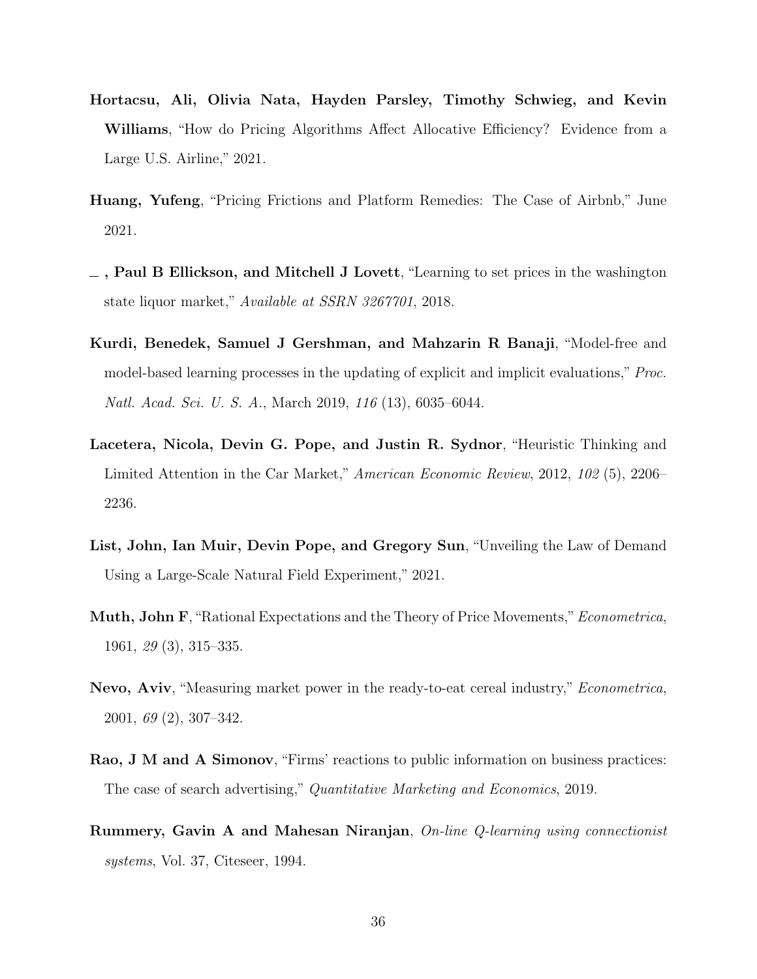- Hortacsu, Ali, Olivia Nata, Hayden Parsley, Timothy Schwieg, and Kevin Williams, "How do Pricing Algorithms Affect Allocative Efficiency? Evidence from a Large U.S. Airline," 2021.
- Huang, Yufeng, "Pricing Frictions and Platform Remedies: The Case of Airbnb," June 2021.
- $\Box$ , Paul B Ellickson, and Mitchell J Lovett, "Learning to set prices in the washington state liquor market," Available at SSRN 3267701, 2018.
- Kurdi, Benedek, Samuel J Gershman, and Mahzarin R Banaji, "Model-free and model-based learning processes in the updating of explicit and implicit evaluations," Proc. Natl. Acad. Sci. U. S. A., March 2019, 116 (13), 6035–6044.
- Lacetera, Nicola, Devin G. Pope, and Justin R. Sydnor, "Heuristic Thinking and Limited Attention in the Car Market," American Economic Review, 2012, 102 (5), 2206– 2236.
- List, John, Ian Muir, Devin Pope, and Gregory Sun, "Unveiling the Law of Demand Using a Large-Scale Natural Field Experiment," 2021.
- Muth, John F, "Rational Expectations and the Theory of Price Movements," Econometrica, 1961, 29 (3), 315–335.
- Nevo, Aviv, "Measuring market power in the ready-to-eat cereal industry," Econometrica, 2001, 69 (2), 307–342.
- Rao, J M and A Simonov, "Firms' reactions to public information on business practices: The case of search advertising," Quantitative Marketing and Economics, 2019.
- Rummery, Gavin A and Mahesan Niranjan, On-line Q-learning using connectionist systems, Vol. 37, Citeseer, 1994.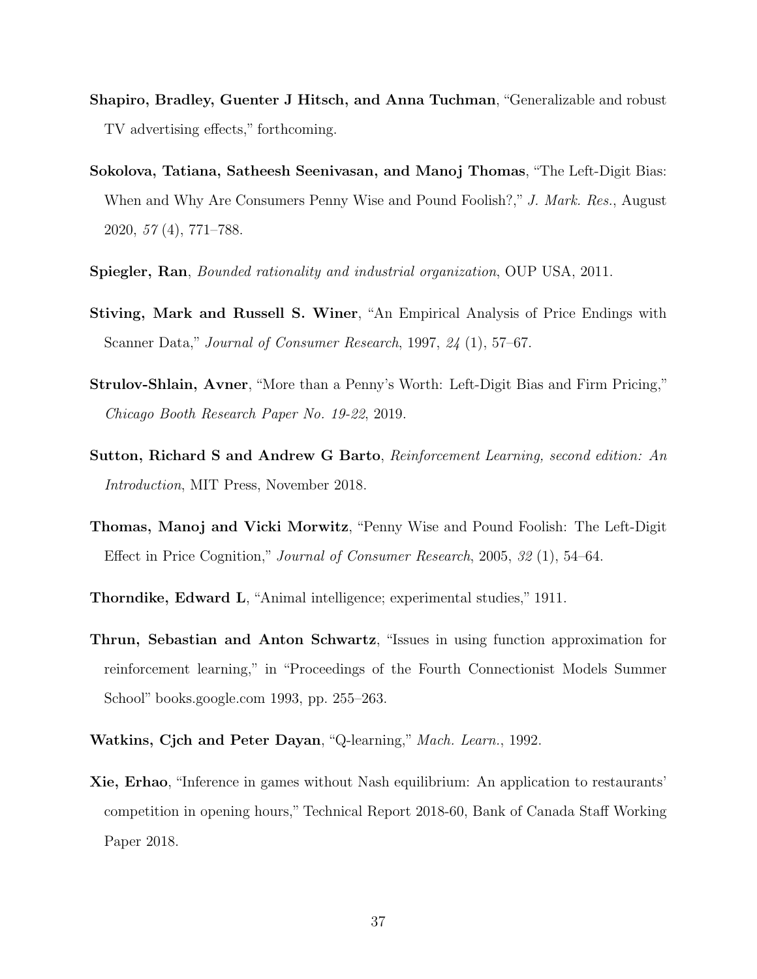- Shapiro, Bradley, Guenter J Hitsch, and Anna Tuchman, "Generalizable and robust TV advertising effects," forthcoming.
- Sokolova, Tatiana, Satheesh Seenivasan, and Manoj Thomas, "The Left-Digit Bias: When and Why Are Consumers Penny Wise and Pound Foolish?," J. Mark. Res., August 2020, 57 (4), 771–788.
- Spiegler, Ran, Bounded rationality and industrial organization, OUP USA, 2011.
- Stiving, Mark and Russell S. Winer, "An Empirical Analysis of Price Endings with Scanner Data," Journal of Consumer Research, 1997, 24 (1), 57–67.
- Strulov-Shlain, Avner, "More than a Penny's Worth: Left-Digit Bias and Firm Pricing," Chicago Booth Research Paper No. 19-22, 2019.
- Sutton, Richard S and Andrew G Barto, Reinforcement Learning, second edition: An Introduction, MIT Press, November 2018.
- Thomas, Manoj and Vicki Morwitz, "Penny Wise and Pound Foolish: The Left-Digit Effect in Price Cognition," Journal of Consumer Research, 2005, 32 (1), 54–64.
- Thorndike, Edward L, "Animal intelligence; experimental studies," 1911.
- Thrun, Sebastian and Anton Schwartz, "Issues in using function approximation for reinforcement learning," in "Proceedings of the Fourth Connectionist Models Summer School" books.google.com 1993, pp. 255–263.
- Watkins, Cjch and Peter Dayan, "Q-learning," Mach. Learn., 1992.
- Xie, Erhao, "Inference in games without Nash equilibrium: An application to restaurants' competition in opening hours," Technical Report 2018-60, Bank of Canada Staff Working Paper 2018.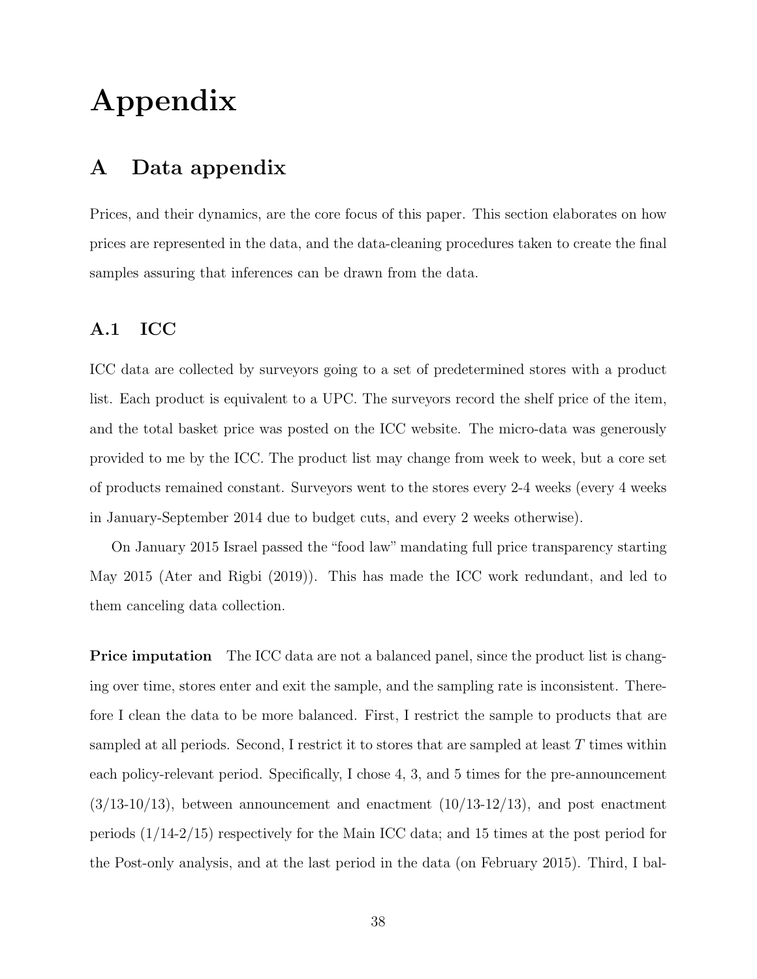# Appendix

# A Data appendix

Prices, and their dynamics, are the core focus of this paper. This section elaborates on how prices are represented in the data, and the data-cleaning procedures taken to create the final samples assuring that inferences can be drawn from the data.

#### A.1 ICC

ICC data are collected by surveyors going to a set of predetermined stores with a product list. Each product is equivalent to a UPC. The surveyors record the shelf price of the item, and the total basket price was posted on the ICC website. The micro-data was generously provided to me by the ICC. The product list may change from week to week, but a core set of products remained constant. Surveyors went to the stores every 2-4 weeks (every 4 weeks in January-September 2014 due to budget cuts, and every 2 weeks otherwise).

On January 2015 Israel passed the "food law" mandating full price transparency starting May 2015 (Ater and Rigbi (2019)). This has made the ICC work redundant, and led to them canceling data collection.

**Price imputation** The ICC data are not a balanced panel, since the product list is changing over time, stores enter and exit the sample, and the sampling rate is inconsistent. Therefore I clean the data to be more balanced. First, I restrict the sample to products that are sampled at all periods. Second, I restrict it to stores that are sampled at least  $T$  times within each policy-relevant period. Specifically, I chose 4, 3, and 5 times for the pre-announcement  $(3/13-10/13)$ , between announcement and enactment  $(10/13-12/13)$ , and post enactment periods (1/14-2/15) respectively for the Main ICC data; and 15 times at the post period for the Post-only analysis, and at the last period in the data (on February 2015). Third, I bal-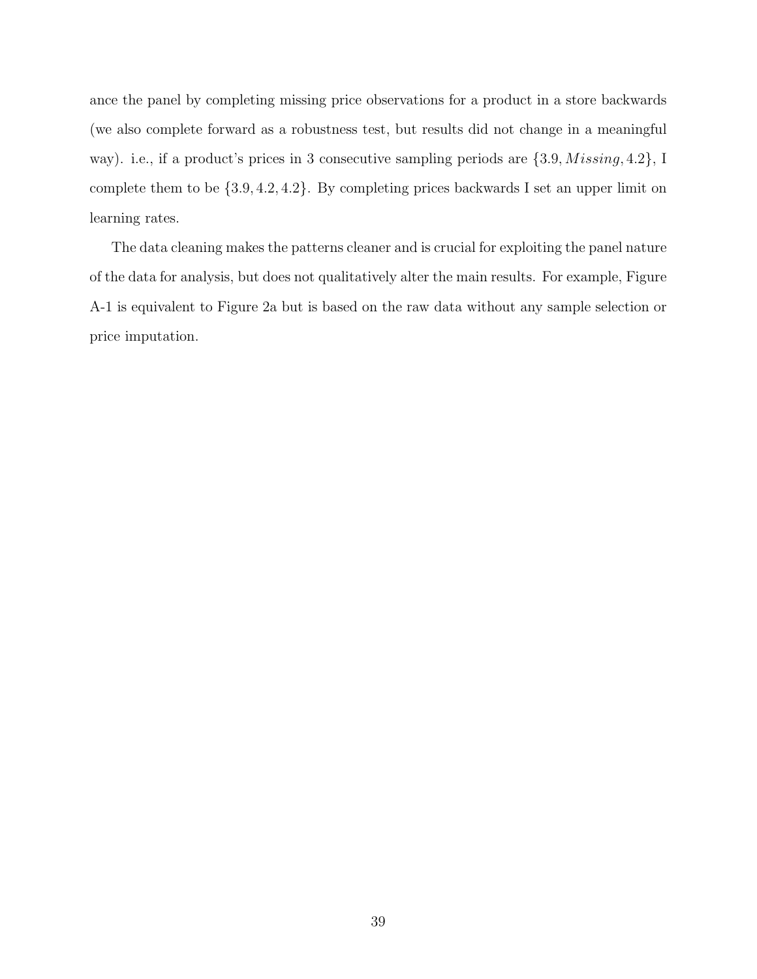ance the panel by completing missing price observations for a product in a store backwards (we also complete forward as a robustness test, but results did not change in a meaningful way). i.e., if a product's prices in 3 consecutive sampling periods are  $\{3.9, \textit{Missing}, 4.2\}$ , I complete them to be {3.9, 4.2, 4.2}. By completing prices backwards I set an upper limit on learning rates.

The data cleaning makes the patterns cleaner and is crucial for exploiting the panel nature of the data for analysis, but does not qualitatively alter the main results. For example, Figure A-1 is equivalent to Figure 2a but is based on the raw data without any sample selection or price imputation.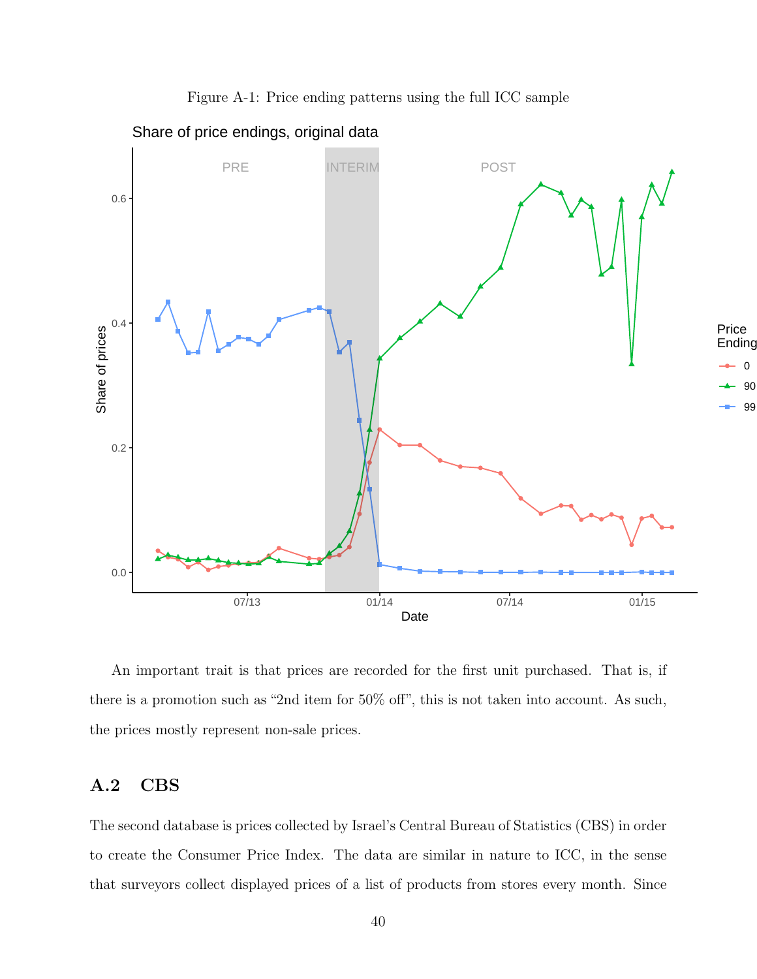

Figure A-1: Price ending patterns using the full ICC sample

An important trait is that prices are recorded for the first unit purchased. That is, if there is a promotion such as "2nd item for 50% off", this is not taken into account. As such, the prices mostly represent non-sale prices.

#### A.2 CBS

The second database is prices collected by Israel's Central Bureau of Statistics (CBS) in order to create the Consumer Price Index. The data are similar in nature to ICC, in the sense that surveyors collect displayed prices of a list of products from stores every month. Since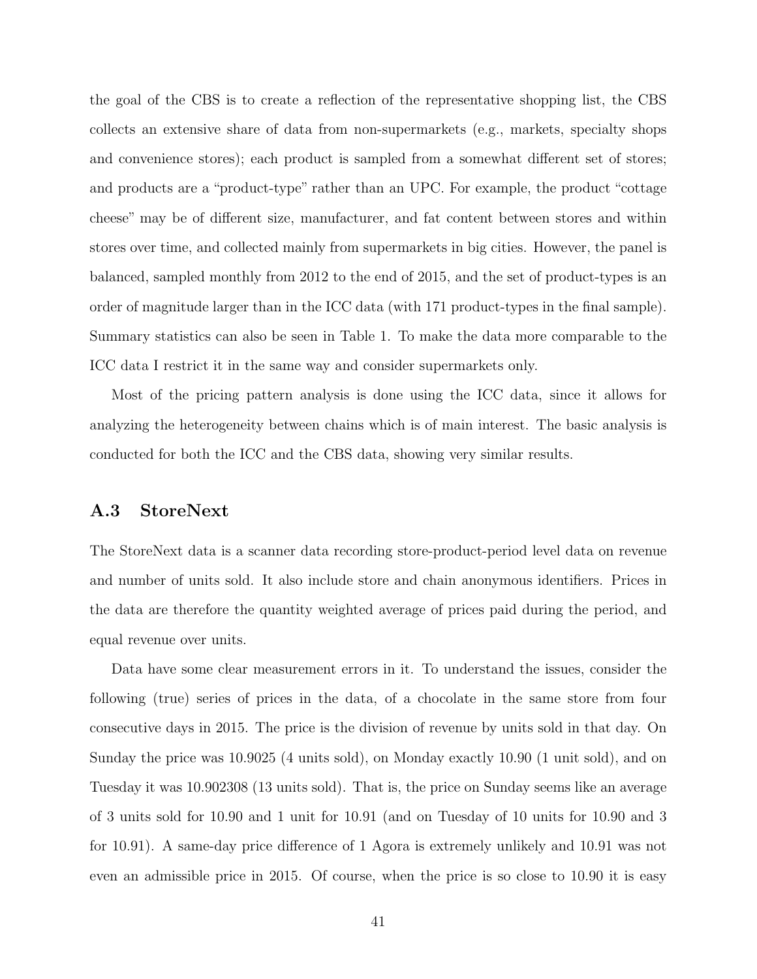the goal of the CBS is to create a reflection of the representative shopping list, the CBS collects an extensive share of data from non-supermarkets (e.g., markets, specialty shops and convenience stores); each product is sampled from a somewhat different set of stores; and products are a "product-type" rather than an UPC. For example, the product "cottage cheese" may be of different size, manufacturer, and fat content between stores and within stores over time, and collected mainly from supermarkets in big cities. However, the panel is balanced, sampled monthly from 2012 to the end of 2015, and the set of product-types is an order of magnitude larger than in the ICC data (with 171 product-types in the final sample). Summary statistics can also be seen in Table 1. To make the data more comparable to the ICC data I restrict it in the same way and consider supermarkets only.

Most of the pricing pattern analysis is done using the ICC data, since it allows for analyzing the heterogeneity between chains which is of main interest. The basic analysis is conducted for both the ICC and the CBS data, showing very similar results.

#### A.3 StoreNext

The StoreNext data is a scanner data recording store-product-period level data on revenue and number of units sold. It also include store and chain anonymous identifiers. Prices in the data are therefore the quantity weighted average of prices paid during the period, and equal revenue over units.

Data have some clear measurement errors in it. To understand the issues, consider the following (true) series of prices in the data, of a chocolate in the same store from four consecutive days in 2015. The price is the division of revenue by units sold in that day. On Sunday the price was 10.9025 (4 units sold), on Monday exactly 10.90 (1 unit sold), and on Tuesday it was 10.902308 (13 units sold). That is, the price on Sunday seems like an average of 3 units sold for 10.90 and 1 unit for 10.91 (and on Tuesday of 10 units for 10.90 and 3 for 10.91). A same-day price difference of 1 Agora is extremely unlikely and 10.91 was not even an admissible price in 2015. Of course, when the price is so close to 10.90 it is easy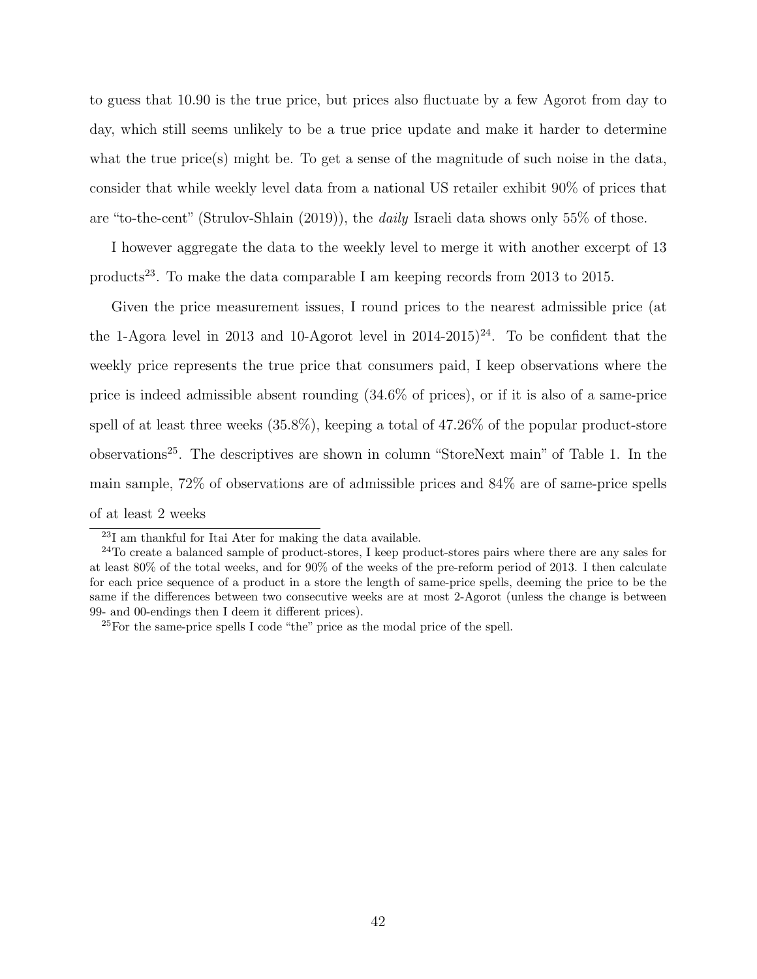to guess that 10.90 is the true price, but prices also fluctuate by a few Agorot from day to day, which still seems unlikely to be a true price update and make it harder to determine what the true price(s) might be. To get a sense of the magnitude of such noise in the data, consider that while weekly level data from a national US retailer exhibit 90% of prices that are "to-the-cent" (Strulov-Shlain (2019)), the daily Israeli data shows only 55% of those.

I however aggregate the data to the weekly level to merge it with another excerpt of 13 products<sup>23</sup>. To make the data comparable I am keeping records from 2013 to 2015.

Given the price measurement issues, I round prices to the nearest admissible price (at the 1-Agora level in 2013 and 10-Agorot level in  $2014-2015)^{24}$ . To be confident that the weekly price represents the true price that consumers paid, I keep observations where the price is indeed admissible absent rounding (34.6% of prices), or if it is also of a same-price spell of at least three weeks (35.8%), keeping a total of 47.26% of the popular product-store observations<sup>25</sup>. The descriptives are shown in column "StoreNext main" of Table 1. In the main sample, 72% of observations are of admissible prices and 84% are of same-price spells of at least 2 weeks

<sup>23</sup>I am thankful for Itai Ater for making the data available.

<sup>&</sup>lt;sup>24</sup>To create a balanced sample of product-stores, I keep product-stores pairs where there are any sales for at least 80% of the total weeks, and for 90% of the weeks of the pre-reform period of 2013. I then calculate for each price sequence of a product in a store the length of same-price spells, deeming the price to be the same if the differences between two consecutive weeks are at most 2-Agorot (unless the change is between 99- and 00-endings then I deem it different prices).

<sup>25</sup>For the same-price spells I code "the" price as the modal price of the spell.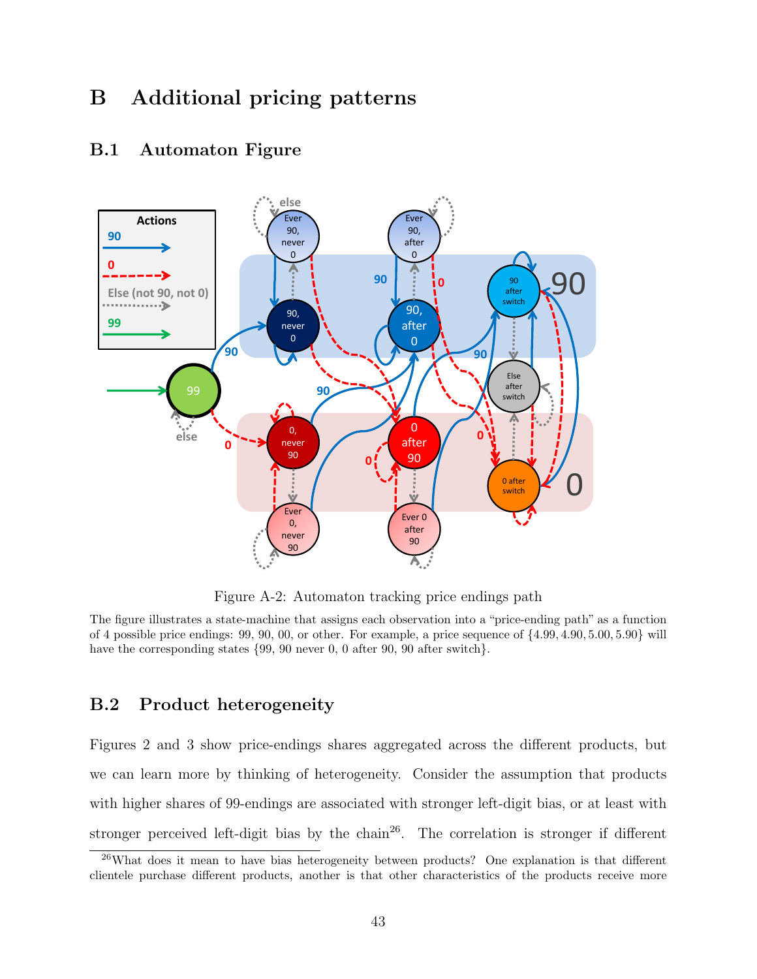# B Additional pricing patterns



#### B.1 Automaton Figure

Figure A-2: Automaton tracking price endings path

The figure illustrates a state-machine that assigns each observation into a "price-ending path" as a function of 4 possible price endings: 99, 90, 00, or other. For example, a price sequence of {4.99, 4.90, 5.00, 5.90} will have the corresponding states  $\{99, 90$  never 0, 0 after 90, 90 after switch.

#### B.2 Product heterogeneity

Figures 2 and 3 show price-endings shares aggregated across the different products, but we can learn more by thinking of heterogeneity. Consider the assumption that products with higher shares of 99-endings are associated with stronger left-digit bias, or at least with stronger perceived left-digit bias by the chain<sup>26</sup>. The correlation is stronger if different

<sup>&</sup>lt;sup>26</sup>What does it mean to have bias heterogeneity between products? One explanation is that different clientele purchase different products, another is that other characteristics of the products receive more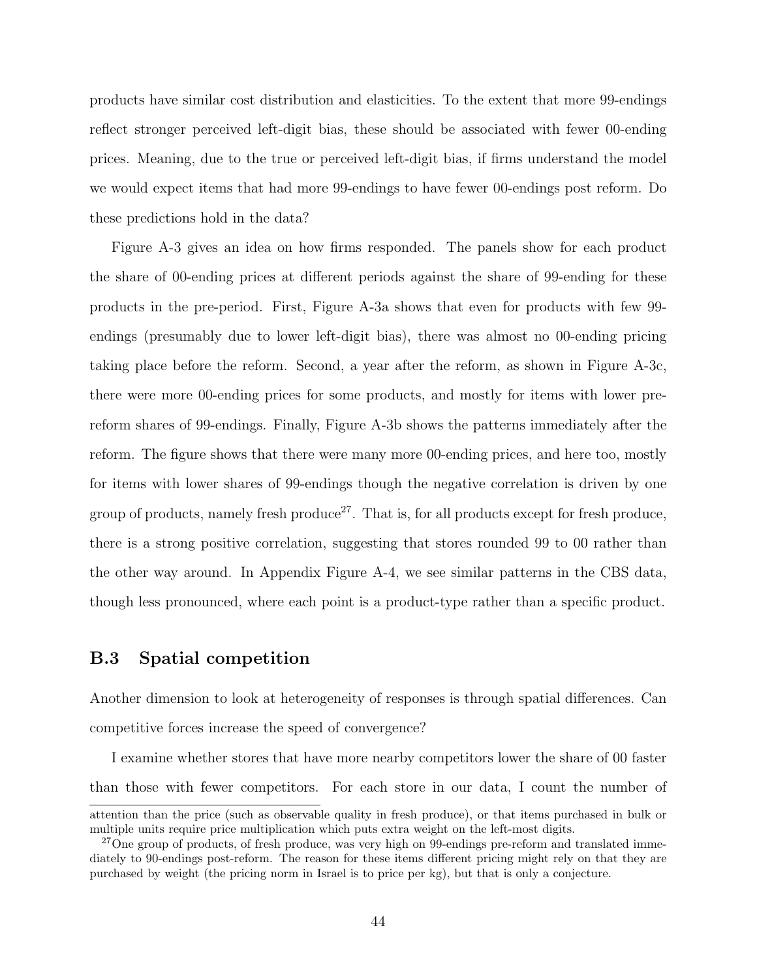products have similar cost distribution and elasticities. To the extent that more 99-endings reflect stronger perceived left-digit bias, these should be associated with fewer 00-ending prices. Meaning, due to the true or perceived left-digit bias, if firms understand the model we would expect items that had more 99-endings to have fewer 00-endings post reform. Do these predictions hold in the data?

Figure A-3 gives an idea on how firms responded. The panels show for each product the share of 00-ending prices at different periods against the share of 99-ending for these products in the pre-period. First, Figure A-3a shows that even for products with few 99 endings (presumably due to lower left-digit bias), there was almost no 00-ending pricing taking place before the reform. Second, a year after the reform, as shown in Figure A-3c, there were more 00-ending prices for some products, and mostly for items with lower prereform shares of 99-endings. Finally, Figure A-3b shows the patterns immediately after the reform. The figure shows that there were many more 00-ending prices, and here too, mostly for items with lower shares of 99-endings though the negative correlation is driven by one group of products, namely fresh produce<sup>27</sup>. That is, for all products except for fresh produce, there is a strong positive correlation, suggesting that stores rounded 99 to 00 rather than the other way around. In Appendix Figure A-4, we see similar patterns in the CBS data, though less pronounced, where each point is a product-type rather than a specific product.

#### B.3 Spatial competition

Another dimension to look at heterogeneity of responses is through spatial differences. Can competitive forces increase the speed of convergence?

I examine whether stores that have more nearby competitors lower the share of 00 faster than those with fewer competitors. For each store in our data, I count the number of

attention than the price (such as observable quality in fresh produce), or that items purchased in bulk or multiple units require price multiplication which puts extra weight on the left-most digits.

<sup>&</sup>lt;sup>27</sup>One group of products, of fresh produce, was very high on 99-endings pre-reform and translated immediately to 90-endings post-reform. The reason for these items different pricing might rely on that they are purchased by weight (the pricing norm in Israel is to price per kg), but that is only a conjecture.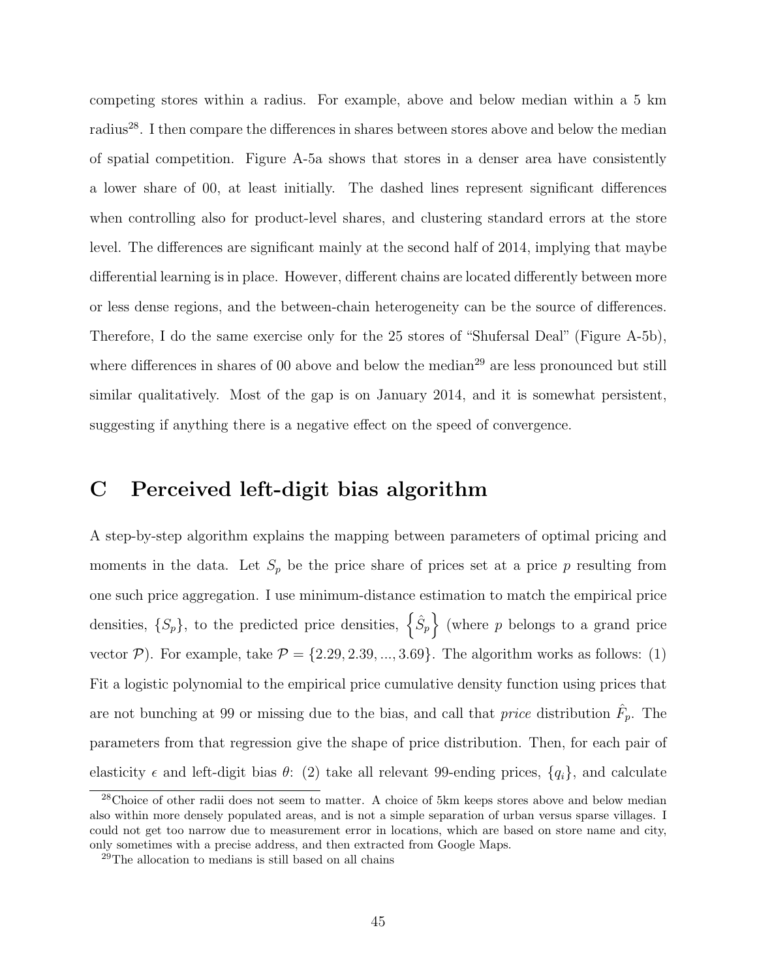competing stores within a radius. For example, above and below median within a 5 km radius<sup>28</sup>. I then compare the differences in shares between stores above and below the median of spatial competition. Figure A-5a shows that stores in a denser area have consistently a lower share of 00, at least initially. The dashed lines represent significant differences when controlling also for product-level shares, and clustering standard errors at the store level. The differences are significant mainly at the second half of 2014, implying that maybe differential learning is in place. However, different chains are located differently between more or less dense regions, and the between-chain heterogeneity can be the source of differences. Therefore, I do the same exercise only for the 25 stores of "Shufersal Deal" (Figure A-5b), where differences in shares of 00 above and below the median<sup>29</sup> are less pronounced but still similar qualitatively. Most of the gap is on January 2014, and it is somewhat persistent, suggesting if anything there is a negative effect on the speed of convergence.

## C Perceived left-digit bias algorithm

A step-by-step algorithm explains the mapping between parameters of optimal pricing and moments in the data. Let  $S_p$  be the price share of prices set at a price p resulting from one such price aggregation. I use minimum-distance estimation to match the empirical price densities,  $\{S_p\}$ , to the predicted price densities,  $\{\hat{S}_p\}$  (where p belongs to a grand price vector  $P$ ). For example, take  $P = \{2.29, 2.39, ..., 3.69\}$ . The algorithm works as follows: (1) Fit a logistic polynomial to the empirical price cumulative density function using prices that are not bunching at 99 or missing due to the bias, and call that *price* distribution  $\hat{F}_p$ . The parameters from that regression give the shape of price distribution. Then, for each pair of elasticity  $\epsilon$  and left-digit bias  $\theta$ : (2) take all relevant 99-ending prices,  $\{q_i\}$ , and calculate

<sup>&</sup>lt;sup>28</sup>Choice of other radii does not seem to matter. A choice of 5km keeps stores above and below median also within more densely populated areas, and is not a simple separation of urban versus sparse villages. I could not get too narrow due to measurement error in locations, which are based on store name and city, only sometimes with a precise address, and then extracted from Google Maps.

<sup>29</sup>The allocation to medians is still based on all chains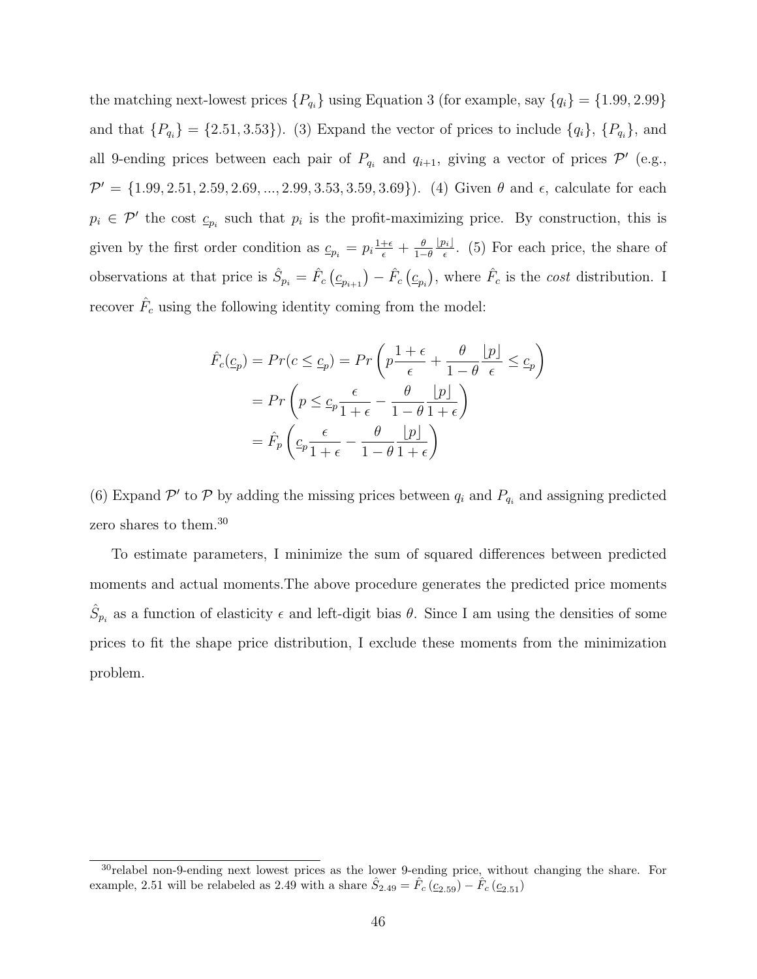the matching next-lowest prices  $\{P_{q_i}\}\$ using Equation 3 (for example, say  $\{q_i\} = \{1.99, 2.99\}$ and that  $\{P_{q_i}\} = \{2.51, 3.53\}$ . (3) Expand the vector of prices to include  $\{q_i\}, \{P_{q_i}\},$  and all 9-ending prices between each pair of  $P_{q_i}$  and  $q_{i+1}$ , giving a vector of prices  $\mathcal{P}'$  (e.g.,  $\mathcal{P}' = \{1.99, 2.51, 2.59, 2.69, ..., 2.99, 3.53, 3.59, 3.69\}$ . (4) Given  $\theta$  and  $\epsilon$ , calculate for each  $p_i \in \mathcal{P}'$  the cost  $c_{p_i}$  such that  $p_i$  is the profit-maximizing price. By construction, this is given by the first order condition as  $c_{p_i} = p_i \frac{1+\epsilon}{\epsilon} + \frac{\theta}{1-\epsilon}$  $1-\theta$  $\lfloor p_i \rfloor$  $\frac{\partial i}{\epsilon}$ . (5) For each price, the share of observations at that price is  $\hat{S}_{p_i} = \hat{F}_c (c_{p_i+1}) - \hat{F}_c (c_{p_i})$ , where  $\hat{F}_c$  is the *cost* distribution. I recover  $\hat{F}_c$  using the following identity coming from the model:

$$
\hat{F}_c(\underline{c}_p) = Pr(c \le \underline{c}_p) = Pr\left(p\frac{1+\epsilon}{\epsilon} + \frac{\theta}{1-\theta}\frac{p}{\epsilon}\right) \le \underline{c}_p\right)
$$
\n
$$
= Pr\left(p \le \underline{c}_p \frac{\epsilon}{1+\epsilon} - \frac{\theta}{1-\theta}\frac{p}{1+\epsilon}\right)
$$
\n
$$
= \hat{F}_p\left(\underline{c}_p \frac{\epsilon}{1+\epsilon} - \frac{\theta}{1-\theta}\frac{p}{1+\epsilon}\right)
$$

(6) Expand  $\mathcal{P}'$  to  $\mathcal{P}$  by adding the missing prices between  $q_i$  and  $P_{q_i}$  and assigning predicted zero shares to them.<sup>30</sup>

To estimate parameters, I minimize the sum of squared differences between predicted moments and actual moments.The above procedure generates the predicted price moments  $\hat{S}_{p_i}$  as a function of elasticity  $\epsilon$  and left-digit bias  $\theta$ . Since I am using the densities of some prices to fit the shape price distribution, I exclude these moments from the minimization problem.

 $30$ relabel non-9-ending next lowest prices as the lower 9-ending price, without changing the share. For example, 2.51 will be relabeled as 2.49 with a share  $\hat{S}_{2.49} = \hat{F}_c \left( \underline{c}_{2.59} \right) - \hat{F}_c \left( \underline{c}_{2.51} \right)$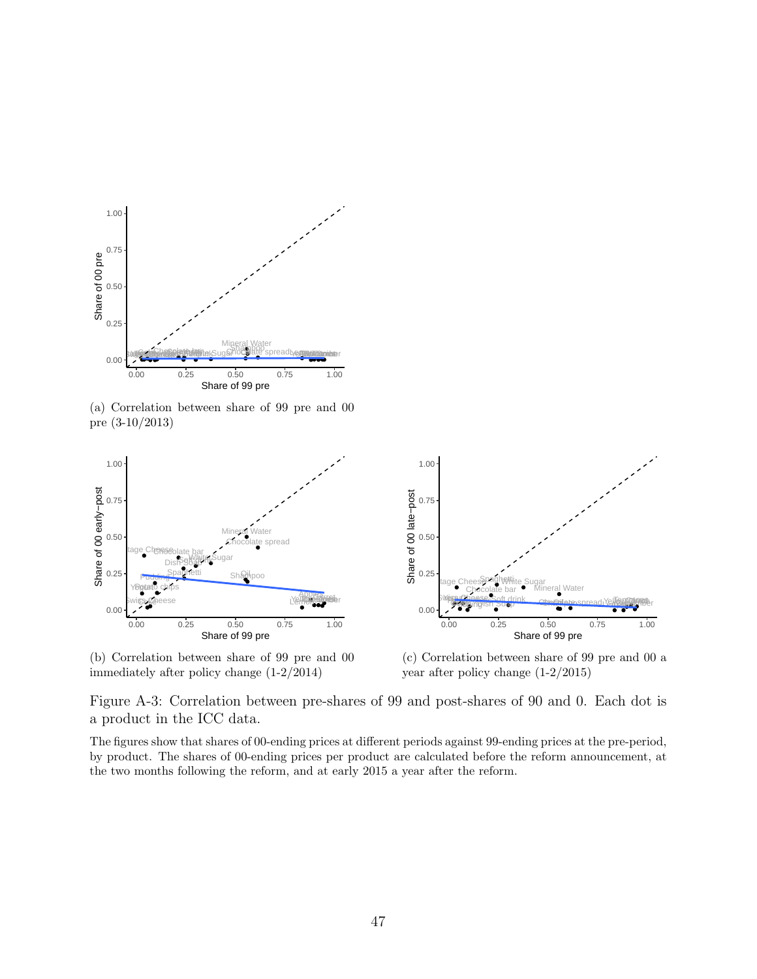

(a) Correlation between share of 99 pre and 00 pre (3-10/2013)



(b) Correlation between share of 99 pre and 00 immediately after policy change (1-2/2014)



(c) Correlation between share of 99 pre and 00 a year after policy change (1-2/2015)

Figure A-3: Correlation between pre-shares of 99 and post-shares of 90 and 0. Each dot is a product in the ICC data.

The figures show that shares of 00-ending prices at different periods against 99-ending prices at the pre-period, by product. The shares of 00-ending prices per product are calculated before the reform announcement, at the two months following the reform, and at early 2015 a year after the reform.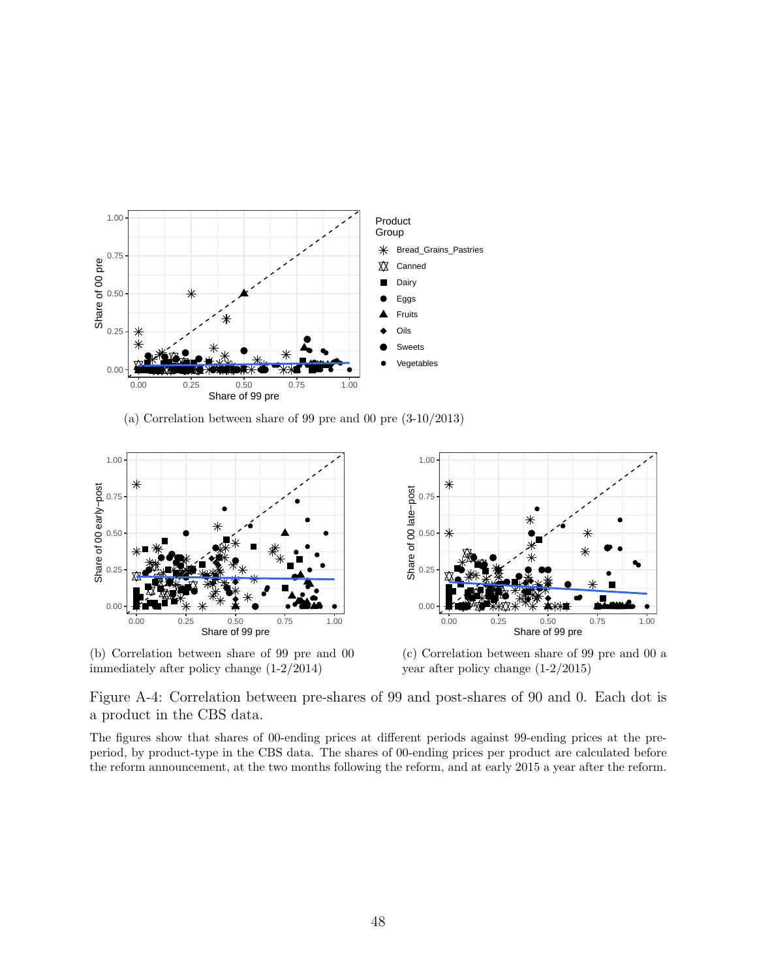

(a) Correlation between share of 99 pre and 00 pre (3-10/2013)



(b) Correlation between share of 99 pre and 00 immediately after policy change (1-2/2014)



(c) Correlation between share of 99 pre and 00 a year after policy change (1-2/2015)

Figure A-4: Correlation between pre-shares of 99 and post-shares of 90 and 0. Each dot is a product in the CBS data.

The figures show that shares of 00-ending prices at different periods against 99-ending prices at the preperiod, by product-type in the CBS data. The shares of 00-ending prices per product are calculated before the reform announcement, at the two months following the reform, and at early 2015 a year after the reform.